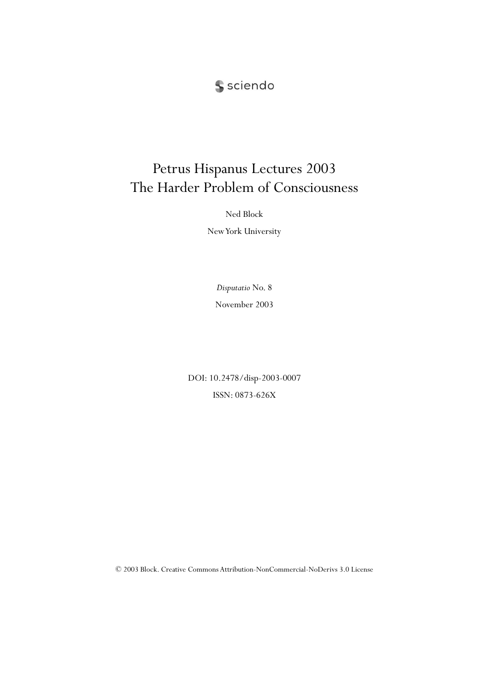# **S** sciendo

# Petrus Hispanus Lectures 2003 The Harder Problem of Consciousness

Ned Block

New York University

*Disputatio* No. 8 November 2003

DOI: 10.2478/disp-2003-0007 ISSN: 0873-626X

© 2003 Block. Creative Commons Attribution-NonCommercial-NoDerivs 3.0 License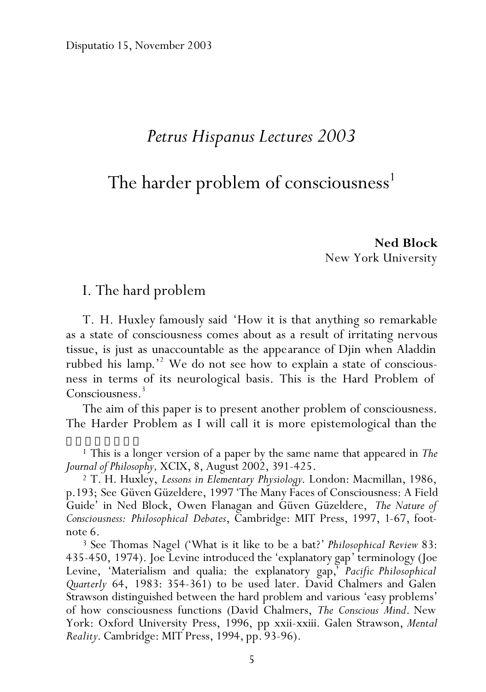Disputatio 15, November 2003

# *Petrus Hispanus Lectures 2003*

# The harder problem of consciousness<sup>1</sup>

**Ned Block** New York University

### I. The hard problem

T. H. Huxley famously said 'How it is that anything so remarkable as a state of consciousness comes about as a result of irritating nervous tissue, is just as unaccountable as the appearance of Djin when Aladdin rubbed his lamp.'<sup>2</sup> We do not see how to explain a state of consciousness in terms of its neurological basis. This is the Hard Problem of Consciousness.<sup>3</sup>

The aim of this paper is to present another problem of consciousness. The Harder Problem as I will call it is more epistemological than the

<sup>1</sup> This is a longer version of a paper by the same name that appeared in *The Journal of Philosophy,* XCIX, 8, August 2002, 391-425.

<sup>2</sup> T. H. Huxley, *Lessons in Elementary Physiology*. London: Macmillan, 1986, p.193; See Güven Güzeldere, 1997 'The Many Faces of Consciousness: A Field Guide' in Ned Block, Owen Flanagan and Güven Güzeldere, *The Nature of Consciousness: Philosophical Debates*, Cambridge: MIT Press, 1997, 1-67, footnote 6.

<sup>3</sup> See Thomas Nagel ('What is it like to be a bat?' *Philosophical Review* 83: 435-450, 1974). Joe Levine introduced the 'explanatory gap' terminology (Joe Levine, 'Materialism and qualia: the explanatory gap,' *Pacific Philosophical Quarterly* 64, 1983: 354-361) to be used later. David Chalmers and Galen Strawson distinguished between the hard problem and various 'easy problems' of how consciousness functions (David Chalmers, *The Conscious Mind*. New York: Oxford University Press, 1996, pp xxii-xxiii. Galen Strawson, *Mental Reality*. Cambridge: MIT Press, 1994, pp. 93-96).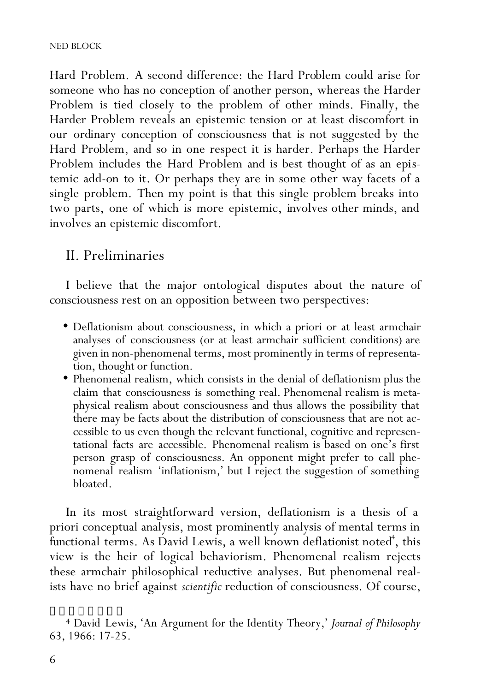Hard Problem. A second difference: the Hard Problem could arise for someone who has no conception of another person, whereas the Harder Problem is tied closely to the problem of other minds. Finally, the Harder Problem reveals an epistemic tension or at least discomfort in our ordinary conception of consciousness that is not suggested by the Hard Problem, and so in one respect it is harder. Perhaps the Harder Problem includes the Hard Problem and is best thought of as an epistemic add-on to it. Or perhaps they are in some other way facets of a single problem. Then my point is that this single problem breaks into two parts, one of which is more epistemic, involves other minds, and involves an epistemic discomfort.

# II. Preliminaries

I believe that the major ontological disputes about the nature of consciousness rest on an opposition between two perspectives:

- Deflationism about consciousness, in which a priori or at least armchair analyses of consciousness (or at least armchair sufficient conditions) are given in non-phenomenal terms, most prominently in terms of representation, thought or function.
- Phenomenal realism, which consists in the denial of deflationism plus the claim that consciousness is something real. Phenomenal realism is metaphysical realism about consciousness and thus allows the possibility that there may be facts about the distribution of consciousness that are not accessible to us even though the relevant functional, cognitive and representational facts are accessible. Phenomenal realism is based on one's first person grasp of consciousness. An opponent might prefer to call phenomenal realism 'inflationism,' but I reject the suggestion of something bloated.

In its most straightforward version, deflationism is a thesis of a priori conceptual analysis, most prominently analysis of mental terms in functional terms. As David Lewis, a well known deflationist noted<sup>4</sup>, this view is the heir of logical behaviorism. Phenomenal realism rejects these armchair philosophical reductive analyses. But phenomenal realists have no brief against *scientific* reduction of consciousness. Of course,

<sup>4</sup> David Lewis, 'An Argument for the Identity Theory,' *Journal of Philosophy*  63, 1966: 17-25.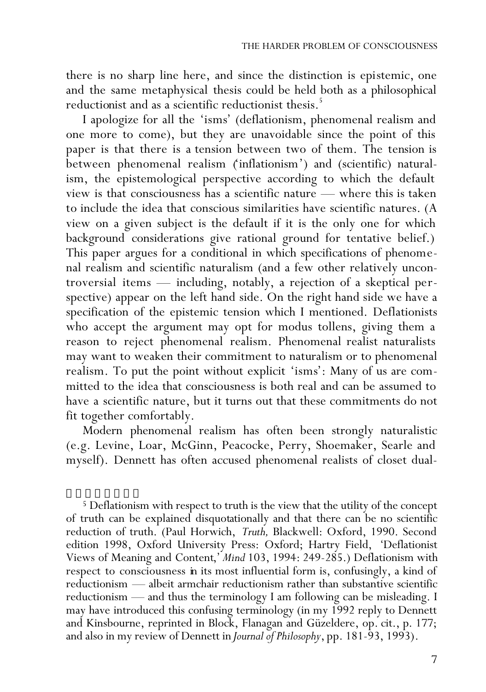there is no sharp line here, and since the distinction is epistemic, one and the same metaphysical thesis could be held both as a philosophical reductionist and as a scientific reductionist thesis.<sup>5</sup>

I apologize for all the 'isms' (deflationism, phenomenal realism and one more to come), but they are unavoidable since the point of this paper is that there is a tension between two of them. The tension is between phenomenal realism ('inflationism') and (scientific) naturalism, the epistemological perspective according to which the default view is that consciousness has a scientific nature — where this is taken to include the idea that conscious similarities have scientific natures. (A view on a given subject is the default if it is the only one for which background considerations give rational ground for tentative belief.) This paper argues for a conditional in which specifications of phenomenal realism and scientific naturalism (and a few other relatively uncontroversial items — including, notably, a rejection of a skeptical perspective) appear on the left hand side. On the right hand side we have a specification of the epistemic tension which I mentioned. Deflationists who accept the argument may opt for modus tollens, giving them a reason to reject phenomenal realism. Phenomenal realist naturalists may want to weaken their commitment to naturalism or to phenomenal realism. To put the point without explicit 'isms': Many of us are committed to the idea that consciousness is both real and can be assumed to have a scientific nature, but it turns out that these commitments do not fit together comfortably.

Modern phenomenal realism has often been strongly naturalistic (e.g. Levine, Loar, McGinn, Peacocke, Perry, Shoemaker, Searle and myself). Dennett has often accused phenomenal realists of closet dual-

<sup>5</sup> Deflationism with respect to truth is the view that the utility of the concept of truth can be explained disquotationally and that there can be no scientific reduction of truth. (Paul Horwich, *Truth,* Blackwell: Oxford, 1990. Second edition 1998, Oxford University Press: Oxford; Hartry Field, 'Deflationist Views of Meaning and Content,' *Mind* 103, 1994: 249-285.) Deflationism with respect to consciousness in its most influential form is, confusingly, a kind of reductionism — albeit armchair reductionism rather than substantive scientific reductionism — and thus the terminology I am following can be misleading. I may have introduced this confusing terminology (in my 1992 reply to Dennett and Kinsbourne, reprinted in Block, Flanagan and Güzeldere, op. cit., p. 177; and also in my review of Dennett in *Journal of Philosophy*, pp. 181-93, 1993).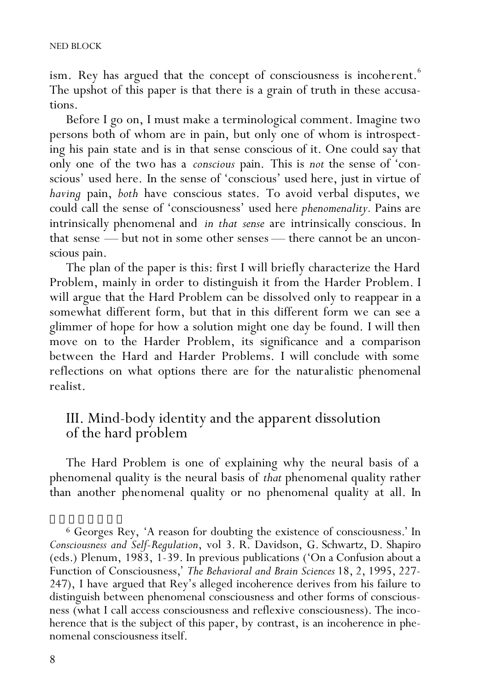ism. Rey has argued that the concept of consciousness is incoherent.<sup>6</sup> The upshot of this paper is that there is a grain of truth in these accusations.

Before I go on, I must make a terminological comment. Imagine two persons both of whom are in pain, but only one of whom is introspecting his pain state and is in that sense conscious of it. One could say that only one of the two has a *conscious* pain. This is *not* the sense of 'conscious' used here. In the sense of 'conscious' used here, just in virtue of *having* pain, *both* have conscious states. To avoid verbal disputes, we could call the sense of 'consciousness' used here *phenomenality.* Pains are intrinsically phenomenal and *in that sense* are intrinsically conscious. In that sense — but not in some other senses — there cannot be an unconscious pain.

The plan of the paper is this: first I will briefly characterize the Hard Problem, mainly in order to distinguish it from the Harder Problem. I will argue that the Hard Problem can be dissolved only to reappear in a somewhat different form, but that in this different form we can see a glimmer of hope for how a solution might one day be found. I will then move on to the Harder Problem, its significance and a comparison between the Hard and Harder Problems. I will conclude with some reflections on what options there are for the naturalistic phenomenal realist.

# III. Mind-body identity and the apparent dissolution of the hard problem

The Hard Problem is one of explaining why the neural basis of a phenomenal quality is the neural basis of *that* phenomenal quality rather than another phenomenal quality or no phenomenal quality at all. In

<sup>6</sup> Georges Rey, 'A reason for doubting the existence of consciousness.' In *Consciousness and Self-Regulation*, vol 3. R. Davidson, G. Schwartz, D. Shapiro (eds.) Plenum, 1983, 1-39. In previous publications ('On a Confusion about a Function of Consciousness,' *The Behavioral and Brain Sciences* 18, 2, 1995, 227- 247), I have argued that Rey's alleged incoherence derives from his failure to distinguish between phenomenal consciousness and other forms of consciousness (what I call access consciousness and reflexive consciousness). The incoherence that is the subject of this paper, by contrast, is an incoherence in phenomenal consciousness itself.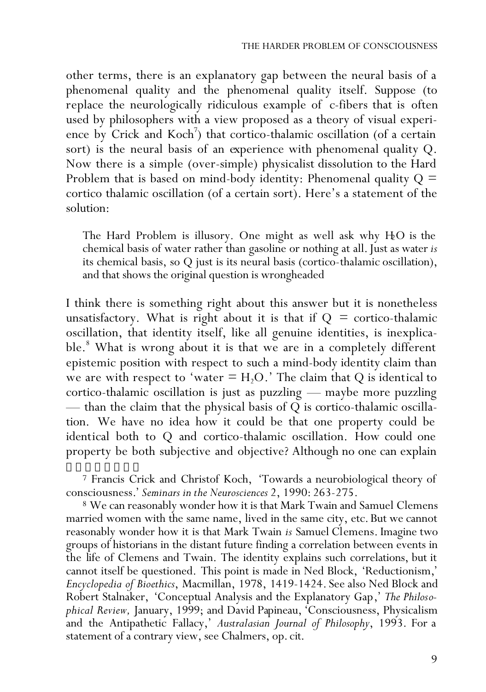other terms, there is an explanatory gap between the neural basis of a phenomenal quality and the phenomenal quality itself. Suppose (to replace the neurologically ridiculous example of c-fibers that is often used by philosophers with a view proposed as a theory of visual experience by Crick and Koch<sup>7</sup>) that cortico-thalamic oscillation (of a certain sort) is the neural basis of an experience with phenomenal quality Q. Now there is a simple (over-simple) physicalist dissolution to the Hard Problem that is based on mind-body identity: Phenomenal quality  $Q =$ cortico thalamic oscillation (of a certain sort). Here's a statement of the solution:

The Hard Problem is illusory. One might as well ask why H2O is the chemical basis of water rather than gasoline or nothing at all.Just as water *is* its chemical basis, so Q just is its neural basis (cortico-thalamic oscillation), and that shows the original question is wrongheaded

I think there is something right about this answer but it is nonetheless unsatisfactory. What is right about it is that if  $Q =$  cortico-thalamic oscillation, that identity itself, like all genuine identities, is inexplicable.<sup>8</sup> What is wrong about it is that we are in a completely different epistemic position with respect to such a mind-body identity claim than we are with respect to 'water =  $H_2O$ .' The claim that Q is identical to cortico-thalamic oscillation is just as puzzling — maybe more puzzling — than the claim that the physical basis of  $\breve{\mathrm{Q}}$  is cortico-thalamic oscillation. We have no idea how it could be that one property could be identical both to Q and cortico-thalamic oscillation. How could one property be both subjective and objective? Although no one can explain

<sup>7</sup> Francis Crick and Christof Koch, 'Towards a neurobiological theory of consciousness.' *Seminars in the Neurosciences* 2, 1990: 263-275.

<sup>8</sup> We can reasonably wonder how it is that Mark Twain and Samuel Clemens married women with the same name, lived in the same city, etc. But we cannot reasonably wonder how it is that Mark Twain *is* Samuel Clemens. Imagine two groups of historians in the distant future finding a correlation between events in the life of Clemens and Twain. The identity explains such correlations, but it cannot itself be questioned. This point is made in Ned Block, 'Reductionism,' *Encyclopedia of Bioethics*, Macmillan, 1978, 1419-1424. See also Ned Block and Robert Stalnaker, 'Conceptual Analysis and the Explanatory Gap,' *The Philosophical Review,* January, 1999; and David Papineau, 'Consciousness, Physicalism and the Antipathetic Fallacy,' *Australasian Journal of Philosophy*, 1993. For a statement of a contrary view, see Chalmers, op.cit.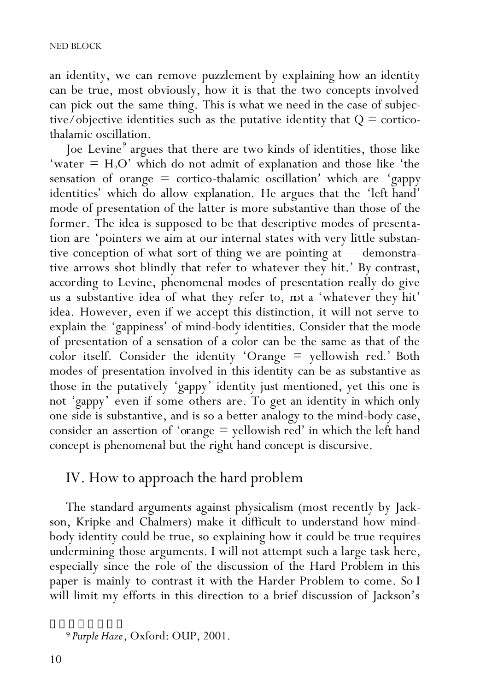an identity, we can remove puzzlement by explaining how an identity can be true, most obviously, how it is that the two concepts involved can pick out the same thing. This is what we need in the case of subjective/objective identities such as the putative identity that  $Q =$  corticothalamic oscillation.

Joe Levine<sup>9</sup> argues that there are two kinds of identities, those like 'water =  $H_2O'$  which do not admit of explanation and those like 'the sensation of orange  $=$  cortico-thalamic oscillation' which are 'gappy identities' which do allow explanation. He argues that the 'left hand' mode of presentation of the latter is more substantive than those of the former. The idea is supposed to be that descriptive modes of presentation are 'pointers we aim at our internal states with very little substantive conception of what sort of thing we are pointing at — demonstrative arrows shot blindly that refer to whatever they hit.' By contrast, according to Levine, phenomenal modes of presentation really do give us a substantive idea of what they refer to, not a 'whatever they hit' idea. However, even if we accept this distinction, it will not serve to explain the 'gappiness' of mind-body identities. Consider that the mode of presentation of a sensation of a color can be the same as that of the color itself. Consider the identity 'Orange = yellowish red.' Both modes of presentation involved in this identity can be as substantive as those in the putatively 'gappy' identity just mentioned, yet this one is not 'gappy' even if some others are. To get an identity in which only one side is substantive, and is so a better analogy to the mind-body case, consider an assertion of 'orange  $=$  yellowish red' in which the left hand concept is phenomenal but the right hand concept is discursive.

# IV. How to approach the hard problem

The standard arguments against physicalism (most recently by Jackson, Kripke and Chalmers) make it difficult to understand how mindbody identity could be true, so explaining how it could be true requires undermining those arguments. I will not attempt such a large task here, especially since the role of the discussion of the Hard Problem in this paper is mainly to contrast it with the Harder Problem to come. So I will limit my efforts in this direction to a brief discussion of Jackson's

<sup>9</sup> *Purple Haze*, Oxford: OUP, 2001.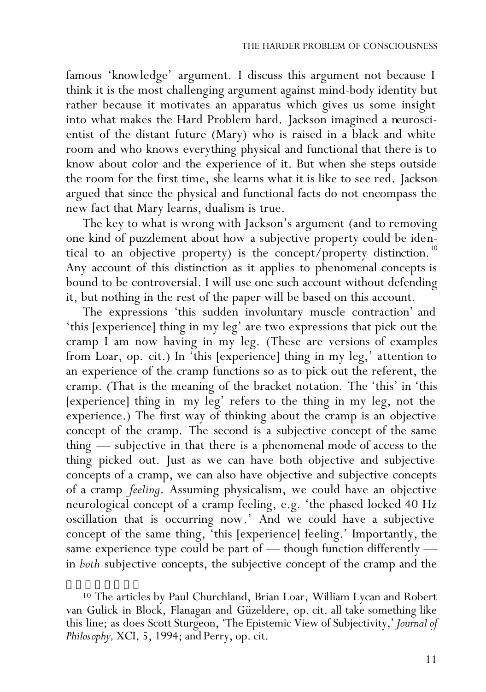famous 'knowledge' argument. I discuss this argument not because I think it is the most challenging argument against mind-body identity but rather because it motivates an apparatus which gives us some insight into what makes the Hard Problem hard. Jackson imagined a neuroscientist of the distant future (Mary) who is raised in a black and white room and who knows everything physical and functional that there is to know about color and the experience of it. But when she steps outside the room for the first time, she learns what it is like to see red. Jackson argued that since the physical and functional facts do not encompass the new fact that Mary learns, dualism is true.

The key to what is wrong with Jackson's argument (and to removing one kind of puzzlement about how a subjective property could be identical to an objective property) is the concept/property distinction.<sup>10</sup> Any account of this distinction as it applies to phenomenal concepts is bound to be controversial. I will use one such account without defending it, but nothing in the rest of the paper will be based on this account.

The expressions 'this sudden involuntary muscle contraction' and 'this [experience] thing in my leg' are two expressions that pick out the cramp I am now having in my leg. (These are versions of examples from Loar, op. cit.) In 'this [experience] thing in my leg,' attention to an experience of the cramp functions so as to pick out the referent, the cramp. (That is the meaning of the bracket notation. The 'this' in 'this [experience] thing in my leg' refers to the thing in my leg, not the experience.) The first way of thinking about the cramp is an objective concept of the cramp. The second is a subjective concept of the same thing — subjective in that there is a phenomenal mode of access to the thing picked out. Just as we can have both objective and subjective concepts of a cramp, we can also have objective and subjective concepts of a cramp *feeling*. Assuming physicalism, we could have an objective neurological concept of a cramp feeling, e.g. 'the phased locked 40 Hz oscillation that is occurring now.' And we could have a subjective concept of the same thing, 'this [experience] feeling.' Importantly, the same experience type could be part of — though function differently in *both* subjective concepts, the subjective concept of the cramp and the

<sup>10</sup> The articles by Paul Churchland, Brian Loar, William Lycan and Robert van Gulick in Block, Flanagan and Güzeldere, op. cit. all take something like this line; as does Scott Sturgeon, 'The Epistemic View of Subjectivity,' *Journal of Philosophy,* XCI, 5, 1994; and Perry, op. cit.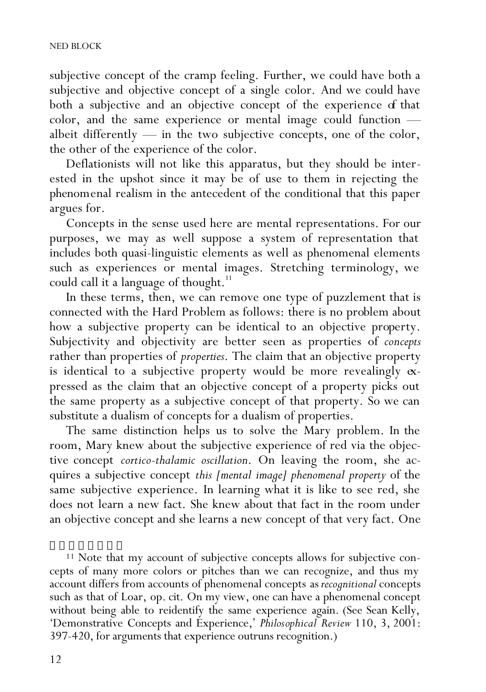subjective concept of the cramp feeling. Further, we could have both a subjective and objective concept of a single color. And we could have both a subjective and an objective concept of the experience of that color, and the same experience or mental image could function albeit differently — in the two subjective concepts, one of the color, the other of the experience of the color.

Deflationists will not like this apparatus, but they should be interested in the upshot since it may be of use to them in rejecting the phenomenal realism in the antecedent of the conditional that this paper argues for.

Concepts in the sense used here are mental representations. For our purposes, we may as well suppose a system of representation that includes both quasi-linguistic elements as well as phenomenal elements such as experiences or mental images. Stretching terminology, we could call it a language of thought.<sup>11</sup>

In these terms, then, we can remove one type of puzzlement that is connected with the Hard Problem as follows: there is no problem about how a subjective property can be identical to an objective property. Subjectivity and objectivity are better seen as properties of *concepts* rather than properties of *properties*. The claim that an objective property is identical to a subjective property would be more revealingly expressed as the claim that an objective concept of a property picks out the same property as a subjective concept of that property. So we can substitute a dualism of concepts for a dualism of properties.

The same distinction helps us to solve the Mary problem. In the room, Mary knew about the subjective experience of red via the objective concept *cortico-thalamic oscillation*. On leaving the room, she acquires a subjective concept *this [mental image] phenomenal property* of the same subjective experience. In learning what it is like to see red, she does not learn a new fact. She knew about that fact in the room under an objective concept and she learns a new concept of that very fact. One

<sup>11</sup> Note that my account of subjective concepts allows for subjective concepts of many more colors or pitches than we can recognize, and thus my account differs from accounts of phenomenal concepts as *recognitional* concepts such as that of Loar, op. cit. On my view, one can have a phenomenal concept without being able to reidentify the same experience again. (See Sean Kelly, 'Demonstrative Concepts and Experience,' *Philosophical Review* 110, 3, 2001: 397-420, for arguments that experience outruns recognition.)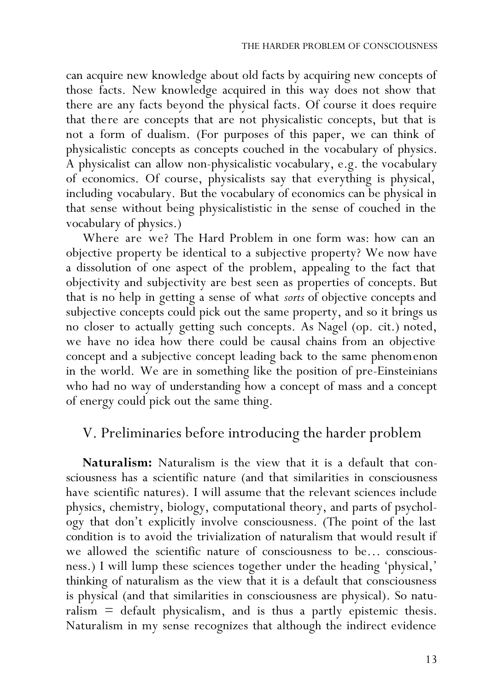can acquire new knowledge about old facts by acquiring new concepts of those facts. New knowledge acquired in this way does not show that there are any facts beyond the physical facts. Of course it does require that there are concepts that are not physicalistic concepts, but that is not a form of dualism. (For purposes of this paper, we can think of physicalistic concepts as concepts couched in the vocabulary of physics. A physicalist can allow non-physicalistic vocabulary, e.g. the vocabulary of economics. Of course, physicalists say that everything is physical, including vocabulary. But the vocabulary of economics can be physical in that sense without being physicalististic in the sense of couched in the vocabulary of physics.)

Where are we? The Hard Problem in one form was: how can an objective property be identical to a subjective property? We now have a dissolution of one aspect of the problem, appealing to the fact that objectivity and subjectivity are best seen as properties of concepts. But that is no help in getting a sense of what *sorts* of objective concepts and subjective concepts could pick out the same property, and so it brings us no closer to actually getting such concepts. As Nagel (op. cit.) noted, we have no idea how there could be causal chains from an objective concept and a subjective concept leading back to the same phenomenon in the world. We are in something like the position of pre-Einsteinians who had no way of understanding how a concept of mass and a concept of energy could pick out the same thing.

# V. Preliminaries before introducing the harder problem

**Naturalism:** Naturalism is the view that it is a default that consciousness has a scientific nature (and that similarities in consciousness have scientific natures). I will assume that the relevant sciences include physics, chemistry, biology, computational theory, and parts of psychology that don't explicitly involve consciousness. (The point of the last condition is to avoid the trivialization of naturalism that would result if we allowed the scientific nature of consciousness to be… consciousness.) I will lump these sciences together under the heading 'physical,' thinking of naturalism as the view that it is a default that consciousness is physical (and that similarities in consciousness are physical). So natu $r_{\text{align}}$  = default physicalism, and is thus a partly epistemic thesis. Naturalism in my sense recognizes that although the indirect evidence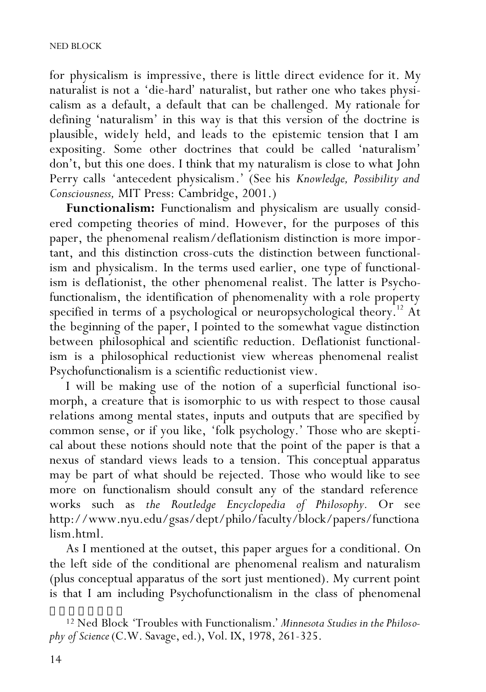for physicalism is impressive, there is little direct evidence for it. My naturalist is not a 'die-hard' naturalist, but rather one who takes physicalism as a default, a default that can be challenged. My rationale for defining 'naturalism' in this way is that this version of the doctrine is plausible, widely held, and leads to the epistemic tension that I am expositing. Some other doctrines that could be called 'naturalism' don't, but this one does. I think that my naturalism is close to what John Perry calls 'antecedent physicalism.' (See his *Knowledge, Possibility and Consciousness,* MIT Press: Cambridge, 2001.)

**Functionalism:** Functionalism and physicalism are usually considered competing theories of mind. However, for the purposes of this paper, the phenomenal realism/deflationism distinction is more important, and this distinction cross-cuts the distinction between functionalism and physicalism. In the terms used earlier, one type of functionalism is deflationist, the other phenomenal realist. The latter is Psychofunctionalism, the identification of phenomenality with a role property specified in terms of a psychological or neuropsychological theory.<sup>12</sup> At the beginning of the paper, I pointed to the somewhat vague distinction between philosophical and scientific reduction. Deflationist functionalism is a philosophical reductionist view whereas phenomenal realist Psychofunctionalism is a scientific reductionist view.

I will be making use of the notion of a superficial functional isomorph, a creature that is isomorphic to us with respect to those causal relations among mental states, inputs and outputs that are specified by common sense, or if you like, 'folk psychology.' Those who are skeptical about these notions should note that the point of the paper is that a nexus of standard views leads to a tension. This conceptual apparatus may be part of what should be rejected. Those who would like to see more on functionalism should consult any of the standard reference works such as *the Routledge Encyclopedia of Philosophy.* Or see http://www.nyu.edu/gsas/dept/philo/faculty/block/papers/functiona lism.html.

As I mentioned at the outset, this paper argues for a conditional. On the left side of the conditional are phenomenal realism and naturalism (plus conceptual apparatus of the sort just mentioned). My current point is that I am including Psychofunctionalism in the class of phenomenal

<sup>12</sup> Ned Block 'Troubles with Functionalism.' *Minnesota Studies in the Philosophy of Science* (C.W. Savage, ed.), Vol. IX, 1978, 261-325.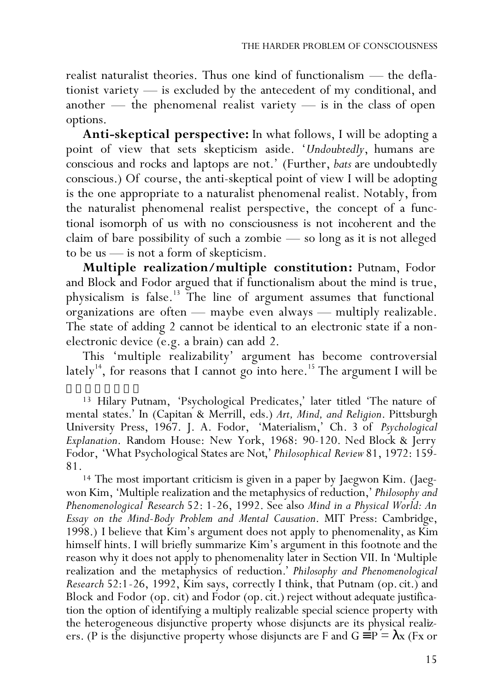realist naturalist theories. Thus one kind of functionalism — the deflationist variety — is excluded by the antecedent of my conditional, and another — the phenomenal realist variety — is in the class of open options.

**Anti-skeptical perspective:** In what follows, I will be adopting a point of view that sets skepticism aside. '*Undoubtedly*, humans are conscious and rocks and laptops are not.' (Further, *bats* are undoubtedly conscious.) Of course, the anti-skeptical point of view I will be adopting is the one appropriate to a naturalist phenomenal realist. Notably, from the naturalist phenomenal realist perspective, the concept of a functional isomorph of us with no consciousness is not incoherent and the claim of bare possibility of such a zombie — so long as it is not alleged to be us — is not a form of skepticism.

**Multiple realization/multiple constitution:** Putnam, Fodor and Block and Fodor argued that if functionalism about the mind is true, physicalism is false.<sup>13</sup> The line of argument assumes that functional organizations are often — maybe even always — multiply realizable. The state of adding 2 cannot be identical to an electronic state if a nonelectronic device (e.g. a brain) can add 2.

This 'multiple realizability' argument has become controversial lately<sup>14</sup>, for reasons that I cannot go into here.<sup>15</sup> The argument I will be

<sup>13</sup> Hilary Putnam, 'Psychological Predicates,' later titled 'The nature of mental states.' In (Capitan & Merrill, eds.) *Art, Mind, and Religion*. Pittsburgh University Press, 1967. J. A. Fodor, 'Materialism,' Ch. 3 of *Psychological Explanation*. Random House: New York, 1968: 90-120. Ned Block & Jerry Fodor, 'What Psychological States are Not,' *Philosophical Review* 81, 1972: 159- 81.

<sup>14</sup> The most important criticism is given in a paper by Jaegwon Kim. (Jaegwon Kim, 'Multiple realization and the metaphysics of reduction,' *Philosophy and Phenomenological Research* 52: 1-26, 1992. See also *Mind in a Physical World: An Essay on the Mind-Body Problem and Mental Causation*. MIT Press: Cambridge, 1998.) I believe that Kim's argument does not apply to phenomenality, as Kim himself hints. I will briefly summarize Kim's argument in this footnote and the reason why it does not apply to phenomenality later in Section VII. In 'Multiple realization and the metaphysics of reduction.' *Philosophy and Phenomenological Research* 52:1-26, 1992, Kim says, correctly I think, that Putnam (op.cit.) and Block and Fodor (op. cit) and Fodor (op.cit.) reject without adequate justification the option of identifying a multiply realizable special science property with the heterogeneous disjunctive property whose disjuncts are its physical realizers. (P is the disjunctive property whose disjuncts are F and  $G = P = \lambda x$  (Fx or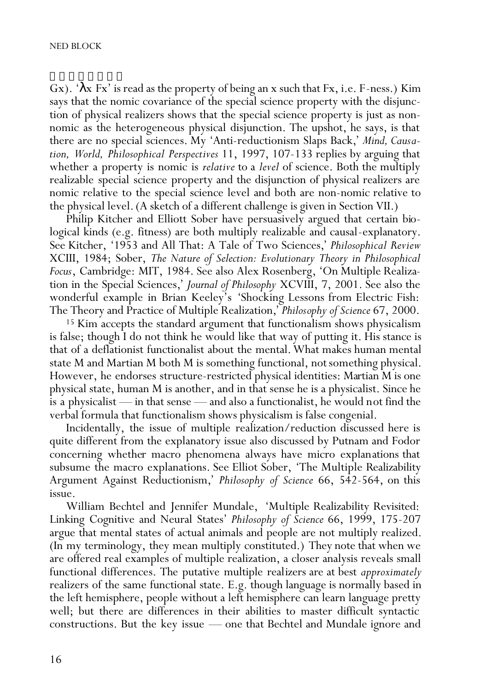Gx). 'λx Fx' is read as the property of being an x such that Fx, i.e. F-ness.) Kim says that the nomic covariance of the special science property with the disjunction of physical realizers shows that the special science property is just as nonnomic as the heterogeneous physical disjunction. The upshot, he says, is that there are no special sciences. My 'Anti-reductionism Slaps Back,' *Mind, Causation, World, Philosophical Perspectives* 11, 1997, 107-133 replies by arguing that whether a property is nomic is *relative* to a *level* of science. Both the multiply realizable special science property and the disjunction of physical realizers are nomic relative to the special science level and both are non-nomic relative to the physical level.(A sketch of a different challenge is given in Section VII.)

Philip Kitcher and Elliott Sober have persuasively argued that certain biological kinds (e.g. fitness) are both multiply realizable and causal-explanatory. See Kitcher, '1953 and All That: A Tale of Two Sciences,' *Philosophical Review*  XCIII, 1984; Sober, *The Nature of Selection: Evolutionary Theory in Philosophical Focus*, Cambridge: MIT, 1984. See also Alex Rosenberg, 'On Multiple Realization in the Special Sciences,' *Journal of Philosophy* XCVIII, 7, 2001. See also the wonderful example in Brian Keeley's 'Shocking Lessons from Electric Fish: The Theory and Practice of Multiple Realization,' *Philosophy of Science* 67, 2000.

<sup>15</sup> Kim accepts the standard argument that functionalism shows physicalism is false; though I do not think he would like that way of putting it. His stance is that of a deflationist functionalist about the mental.What makes human mental state M and Martian M both M is something functional, not something physical. However, he endorses structure-restricted physical identities: Martian M is one physical state, human M is another, and in that sense he is a physicalist. Since he is a physicalist — in that sense — and also a functionalist, he would not find the verbal formula that functionalism shows physicalism is false congenial.

Incidentally, the issue of multiple realization/reduction discussed here is quite different from the explanatory issue also discussed by Putnam and Fodor concerning whether macro phenomena always have micro explanations that subsume the macro explanations. See Elliot Sober, 'The Multiple Realizability Argument Against Reductionism,' *Philosophy of Science* 66, 542-564, on this issue.

William Bechtel and Jennifer Mundale, 'Multiple Realizability Revisited: Linking Cognitive and Neural States' *Philosophy of Science* 66, 1999, 175-207 argue that mental states of actual animals and people are not multiply realized. (In my terminology, they mean multiply constituted.) They note that when we are offered real examples of multiple realization, a closer analysis reveals small functional differences. The putative multiple realizers are at best *approximately* realizers of the same functional state. E.g. though language is normally based in the left hemisphere, people without a left hemisphere can learn language pretty well; but there are differences in their abilities to master difficult syntactic constructions. But the key issue — one that Bechtel and Mundale ignore and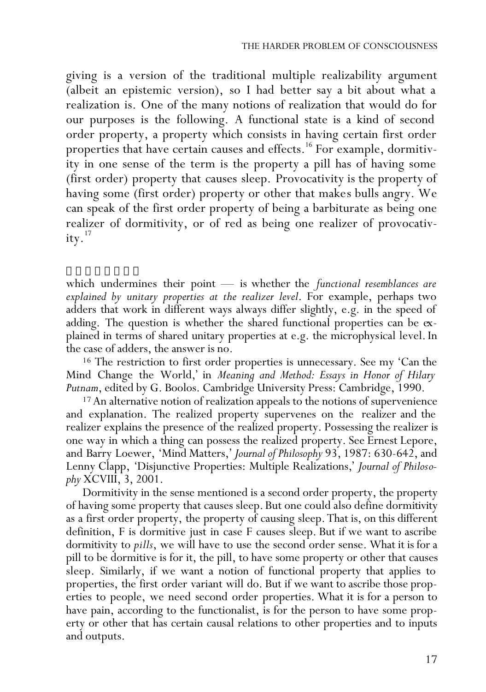giving is a version of the traditional multiple realizability argument (albeit an epistemic version), so I had better say a bit about what a realization is. One of the many notions of realization that would do for our purposes is the following. A functional state is a kind of second order property, a property which consists in having certain first order properties that have certain causes and effects.<sup>16</sup> For example, dormitivity in one sense of the term is the property a pill has of having some (first order) property that causes sleep. Provocativity is the property of having some (first order) property or other that makes bulls angry. We can speak of the first order property of being a barbiturate as being one realizer of dormitivity, or of red as being one realizer of provocativity.<sup>17</sup>

Dormitivity in the sense mentioned is a second order property, the property of having some property that causes sleep. But one could also define dormitivity as a first order property, the property of causing sleep.That is, on this different definition, F is dormitive just in case F causes sleep. But if we want to ascribe dormitivity to *pills*, we will have to use the second order sense. What it is for a pill to be dormitive is for it, the pill, to have some property or other that causes sleep. Similarly, if we want a notion of functional property that applies to properties, the first order variant will do. But if we want to ascribe those properties to people, we need second order properties. What it is for a person to have pain, according to the functionalist, is for the person to have some property or other that has certain causal relations to other properties and to inputs and outputs.

which undermines their point — is whether the *functional resemblances are explained by unitary properties at the realizer level*. For example, perhaps two adders that work in different ways always differ slightly, e.g. in the speed of adding. The question is whether the shared functional properties can be explained in terms of shared unitary properties at e.g. the microphysical level.In the case of adders, the answer is no.

<sup>16</sup> The restriction to first order properties is unnecessary. See my 'Can the Mind Change the World,' in *Meaning and Method: Essays in Honor of Hilary Putnam*, edited by G. Boolos. Cambridge University Press: Cambridge, 1990.

<sup>17</sup> An alternative notion of realization appeals to the notions of supervenience and explanation. The realized property supervenes on the realizer and the realizer explains the presence of the realized property. Possessing the realizer is one way in which a thing can possess the realized property. See Ernest Lepore, and Barry Loewer, 'Mind Matters,' *Journal of Philosophy* 93, 1987: 630-642, and Lenny Clapp, 'Disjunctive Properties: Multiple Realizations,' *Journal of Philosophy* XCVIII, 3, 2001.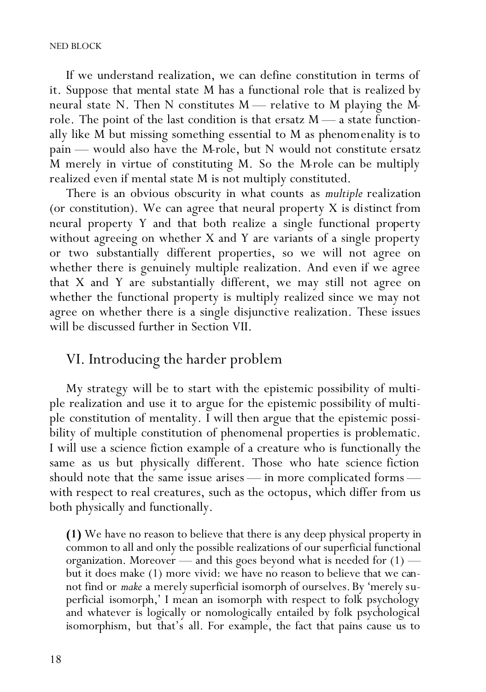If we understand realization, we can define constitution in terms of it. Suppose that mental state M has a functional role that is realized by neural state N. Then N constitutes M — relative to M playing the Mrole. The point of the last condition is that ersatz M — a state functionally like M but missing something essential to M as phenomenality is to pain — would also have the M-role, but N would not constitute ersatz M merely in virtue of constituting M. So the M-role can be multiply realized even if mental state M is not multiply constituted.

There is an obvious obscurity in what counts as *multiple* realization (or constitution). We can agree that neural property X is distinct from neural property Y and that both realize a single functional property without agreeing on whether X and Y are variants of a single property or two substantially different properties, so we will not agree on whether there is genuinely multiple realization. And even if we agree that X and Y are substantially different, we may still not agree on whether the functional property is multiply realized since we may not agree on whether there is a single disjunctive realization. These issues will be discussed further in Section VII.

# VI. Introducing the harder problem

My strategy will be to start with the epistemic possibility of multiple realization and use it to argue for the epistemic possibility of multiple constitution of mentality. I will then argue that the epistemic possibility of multiple constitution of phenomenal properties is problematic. I will use a science fiction example of a creature who is functionally the same as us but physically different. Those who hate science fiction should note that the same issue arises — in more complicated forms with respect to real creatures, such as the octopus, which differ from us both physically and functionally.

**(1)** We have no reason to believe that there is any deep physical property in common to all and only the possible realizations of our superficial functional organization. Moreover — and this goes beyond what is needed for (1) but it does make (1) more vivid: we have no reason to believe that we cannot find or *make* a merely superficial isomorph of ourselves. By 'merely superficial isomorph,' I mean an isomorph with respect to folk psychology and whatever is logically or nomologically entailed by folk psychological isomorphism, but that's all. For example, the fact that pains cause us to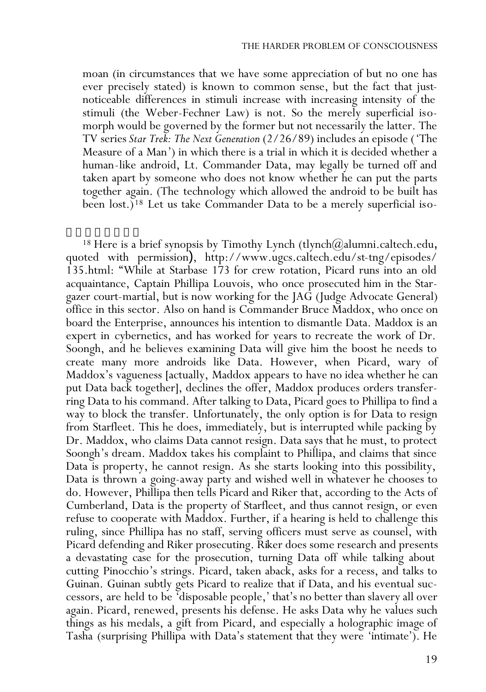moan (in circumstances that we have some appreciation of but no one has ever precisely stated) is known to common sense, but the fact that justnoticeable differences in stimuli increase with increasing intensity of the stimuli (the Weber-Fechner Law) is not. So the merely superficial isomorph would be governed by the former but not necessarily the latter. The TV series *Star Trek: The Next Generation* (2/26/89) includes an episode ('The Measure of a Man') in which there is a trial in which it is decided whether a human-like android, Lt. Commander Data, may legally be turned off and taken apart by someone who does not know whether he can put the parts together again. (The technology which allowed the android to be built has been lost.)<sup>18</sup> Let us take Commander Data to be a merely superficial iso-

<sup>&</sup>lt;sup>18</sup> Here is a brief synopsis by Timothy Lynch (tlynch $\omega$ alumni.caltech.edu, quoted with permission), http://www.ugcs.caltech.edu/st-tng/episodes/ 135.html: "While at Starbase 173 for crew rotation, Picard runs into an old acquaintance, Captain Phillipa Louvois, who once prosecuted him in the Stargazer court-martial, but is now working for the JAG (Judge Advocate General) office in this sector. Also on hand is Commander Bruce Maddox, who once on board the Enterprise, announces his intention to dismantle Data. Maddox is an expert in cybernetics, and has worked for years to recreate the work of Dr. Soongh, and he believes examining Data will give him the boost he needs to create many more androids like Data. However, when Picard, wary of Maddox's vagueness [actually, Maddox appears to have no idea whether he can put Data back together], declines the offer, Maddox produces orders transferring Data to his command. After talking to Data, Picard goes to Phillipa to find a way to block the transfer. Unfortunately, the only option is for Data to resign from Starfleet. This he does, immediately, but is interrupted while packing by Dr. Maddox, who claims Data cannot resign. Data says that he must, to protect Soongh's dream. Maddox takes his complaint to Phillipa, and claims that since Data is property, he cannot resign. As she starts looking into this possibility, Data is thrown a going-away party and wished well in whatever he chooses to do. However, Phillipa then tells Picard and Riker that, according to the Acts of Cumberland, Data is the property of Starfleet, and thus cannot resign, or even refuse to cooperate with Maddox. Further, if a hearing is held to challenge this ruling, since Phillipa has no staff, serving officers must serve as counsel, with Picard defending and Riker prosecuting. Riker does some research and presents a devastating case for the prosecution, turning Data off while talking about cutting Pinocchio's strings. Picard, taken aback, asks for a recess, and talks to Guinan. Guinan subtly gets Picard to realize that if Data, and his eventual successors, are held to be 'disposable people,' that's no better than slavery all over again. Picard, renewed, presents his defense. He asks Data why he values such things as his medals, a gift from Picard, and especially a holographic image of Tasha (surprising Phillipa with Data's statement that they were 'intimate'). He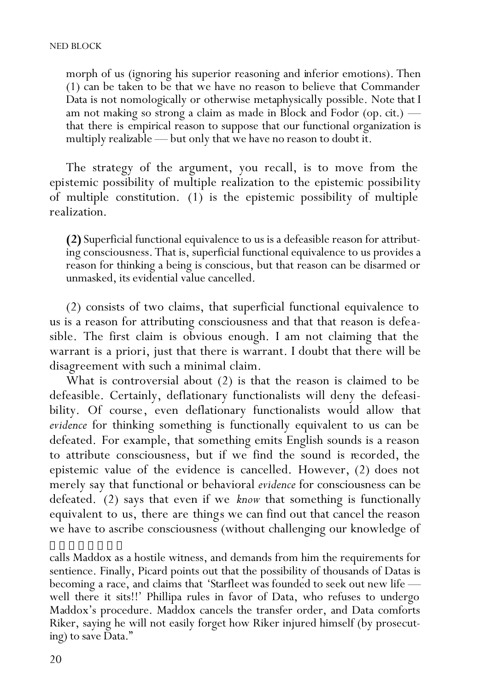morph of us (ignoring his superior reasoning and inferior emotions). Then (1) can be taken to be that we have no reason to believe that Commander Data is not nomologically or otherwise metaphysically possible. Note that I am not making so strong a claim as made in Block and Fodor (op. cit.) that there is empirical reason to suppose that our functional organization is multiply realizable — but only that we have no reason to doubt it.

The strategy of the argument, you recall, is to move from the epistemic possibility of multiple realization to the epistemic possibility of multiple constitution. (1) is the epistemic possibility of multiple realization.

**(2)** Superficial functional equivalence to us is a defeasible reason for attributing consciousness.That is, superficial functional equivalence to us provides a reason for thinking a being is conscious, but that reason can be disarmed or unmasked, its evidential value cancelled.

(2) consists of two claims, that superficial functional equivalence to us is a reason for attributing consciousness and that that reason is defeasible. The first claim is obvious enough. I am not claiming that the warrant is a priori, just that there is warrant. I doubt that there will be disagreement with such a minimal claim.

What is controversial about (2) is that the reason is claimed to be defeasible. Certainly, deflationary functionalists will deny the defeasibility. Of course, even deflationary functionalists would allow that *evidence* for thinking something is functionally equivalent to us can be defeated. For example, that something emits English sounds is a reason to attribute consciousness, but if we find the sound is recorded, the epistemic value of the evidence is cancelled. However, (2) does not merely say that functional or behavioral *evidence* for consciousness can be defeated. (2) says that even if we *know* that something is functionally equivalent to us, there are things we can find out that cancel the reason we have to ascribe consciousness (without challenging our knowledge of

calls Maddox as a hostile witness, and demands from him the requirements for sentience. Finally, Picard points out that the possibility of thousands of Datas is becoming a race, and claims that 'Starfleet was founded to seek out new life well there it sits!!' Phillipa rules in favor of Data, who refuses to undergo Maddox's procedure. Maddox cancels the transfer order, and Data comforts Riker, saying he will not easily forget how Riker injured himself (by prosecuting) to save Data."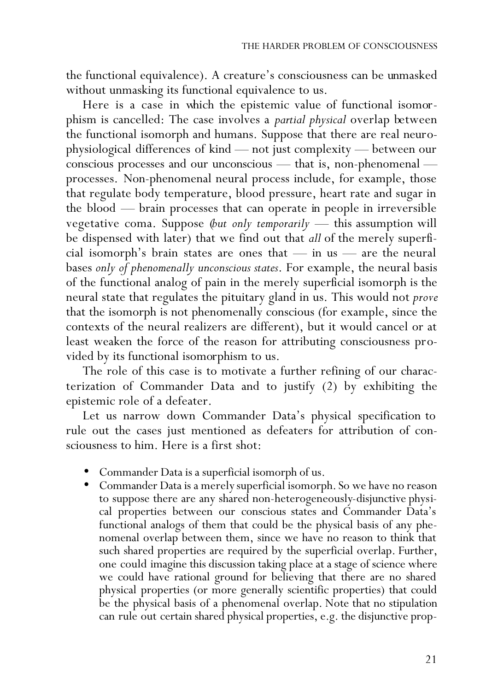the functional equivalence). A creature's consciousness can be unmasked without unmasking its functional equivalence to us.

Here is a case in which the epistemic value of functional isomorphism is cancelled: The case involves a *partial physical* overlap between the functional isomorph and humans. Suppose that there are real neurophysiological differences of kind — not just complexity — between our conscious processes and our unconscious — that is, non-phenomenal processes. Non-phenomenal neural process include, for example, those that regulate body temperature, blood pressure, heart rate and sugar in the blood — brain processes that can operate in people in irreversible vegetative coma. Suppose (*but only temporarily —* this assumption will be dispensed with later) that we find out that *all* of the merely superficial isomorph's brain states are ones that — in us — are the neural bases *only of phenomenally unconscious states*. For example, the neural basis of the functional analog of pain in the merely superficial isomorph is the neural state that regulates the pituitary gland in us. This would not *prove* that the isomorph is not phenomenally conscious (for example, since the contexts of the neural realizers are different), but it would cancel or at least weaken the force of the reason for attributing consciousness provided by its functional isomorphism to us.

The role of this case is to motivate a further refining of our characterization of Commander Data and to justify (2) by exhibiting the epistemic role of a defeater.

Let us narrow down Commander Data's physical specification to rule out the cases just mentioned as defeaters for attribution of consciousness to him. Here is a first shot:

- Commander Data is a superficial isomorph of us.
- Commander Data is a merely superficial isomorph. So we have no reason to suppose there are any shared non-heterogeneously-disjunctive physical properties between our conscious states and Commander Data's functional analogs of them that could be the physical basis of any phenomenal overlap between them, since we have no reason to think that such shared properties are required by the superficial overlap. Further, one could imagine this discussion taking place at a stage of science where we could have rational ground for believing that there are no shared physical properties (or more generally scientific properties) that could be the physical basis of a phenomenal overlap. Note that no stipulation can rule out certain shared physical properties, e.g. the disjunctive prop-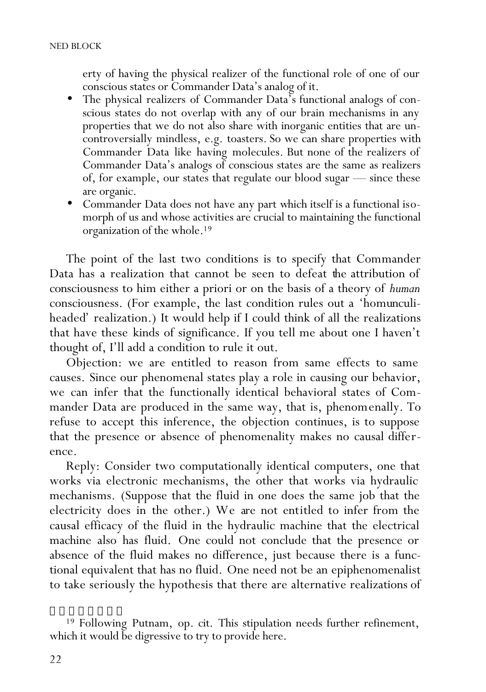erty of having the physical realizer of the functional role of one of our conscious states or Commander Data's analog of it.

- The physical realizers of Commander Data's functional analogs of conscious states do not overlap with any of our brain mechanisms in any properties that we do not also share with inorganic entities that are uncontroversially mindless, e.g. toasters. So we can share properties with Commander Data like having molecules. But none of the realizers of Commander Data's analogs of conscious states are the same as realizers of, for example, our states that regulate our blood sugar — since these are organic.
- Commander Data does not have any part which itself is a functional isomorph of us and whose activities are crucial to maintaining the functional organization of the whole.<sup>19</sup>

The point of the last two conditions is to specify that Commander Data has a realization that cannot be seen to defeat the attribution of consciousness to him either a priori or on the basis of a theory of *human* consciousness. (For example, the last condition rules out a 'homunculiheaded' realization.) It would help if I could think of all the realizations that have these kinds of significance. If you tell me about one I haven't thought of, I'll add a condition to rule it out.

Objection: we are entitled to reason from same effects to same causes. Since our phenomenal states play a role in causing our behavior, we can infer that the functionally identical behavioral states of Commander Data are produced in the same way, that is, phenomenally. To refuse to accept this inference, the objection continues, is to suppose that the presence or absence of phenomenality makes no causal difference.

Reply: Consider two computationally identical computers, one that works via electronic mechanisms, the other that works via hydraulic mechanisms. (Suppose that the fluid in one does the same job that the electricity does in the other.) We are not entitled to infer from the causal efficacy of the fluid in the hydraulic machine that the electrical machine also has fluid. One could not conclude that the presence or absence of the fluid makes no difference, just because there is a functional equivalent that has no fluid. One need not be an epiphenomenalist to take seriously the hypothesis that there are alternative realizations of

<sup>19</sup> Following Putnam, op. cit. This stipulation needs further refinement, which it would be digressive to try to provide here.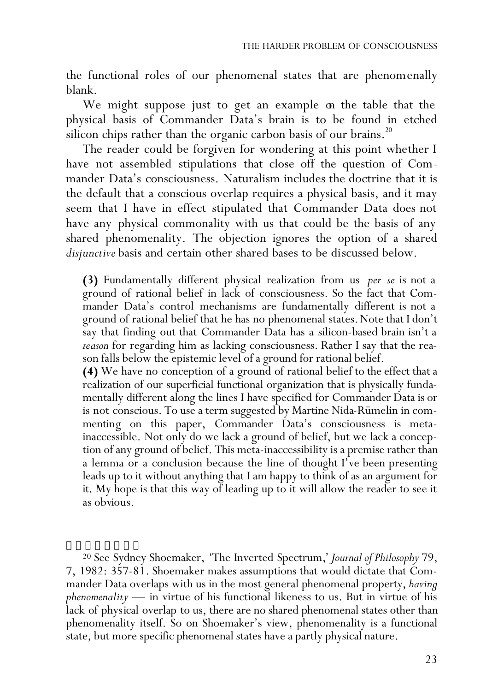the functional roles of our phenomenal states that are phenomenally blank.

We might suppose just to get an example on the table that the physical basis of Commander Data's brain is to be found in etched silicon chips rather than the organic carbon basis of our brains.<sup>20</sup>

The reader could be forgiven for wondering at this point whether I have not assembled stipulations that close off the question of Commander Data's consciousness. Naturalism includes the doctrine that it is the default that a conscious overlap requires a physical basis, and it may seem that I have in effect stipulated that Commander Data does not have any physical commonality with us that could be the basis of any shared phenomenality. The objection ignores the option of a shared *disjunctive* basis and certain other shared bases to be discussed below.

**(3)** Fundamentally different physical realization from us *per se* is not a ground of rational belief in lack of consciousness. So the fact that Commander Data's control mechanisms are fundamentally different is not a ground of rational belief that he has no phenomenal states.Note that I don't say that finding out that Commander Data has a silicon-based brain isn't a *reason* for regarding him as lacking consciousness. Rather I say that the reason falls below the epistemic level of a ground for rational belief.

**(4)** We have no conception of a ground of rational belief to the effect that a realization of our superficial functional organization that is physically fundamentally different along the lines I have specified for Commander Data is or is not conscious. To use a term suggested by Martine Nida-Rümelin in commenting on this paper, Commander Data's consciousness is metainaccessible. Not only do we lack a ground of belief, but we lack a conception of any ground of belief. This meta-inaccessibility is a premise rather than a lemma or a conclusion because the line of thought I've been presenting leads up to it without anything that I am happy to think of as an argument for it. My hope is that this way of leading up to it will allow the reader to see it as obvious.

<sup>20</sup> See Sydney Shoemaker, 'The Inverted Spectrum,' *Journal of Philosophy* 79, 7, 1982: 357-81. Shoemaker makes assumptions that would dictate that Commander Data overlaps with us in the most general phenomenal property, *having phenomenality* — in virtue of his functional likeness to us. But in virtue of his lack of physical overlap to us, there are no shared phenomenal states other than phenomenality itself. So on Shoemaker's view, phenomenality is a functional state, but more specific phenomenal states have a partly physical nature.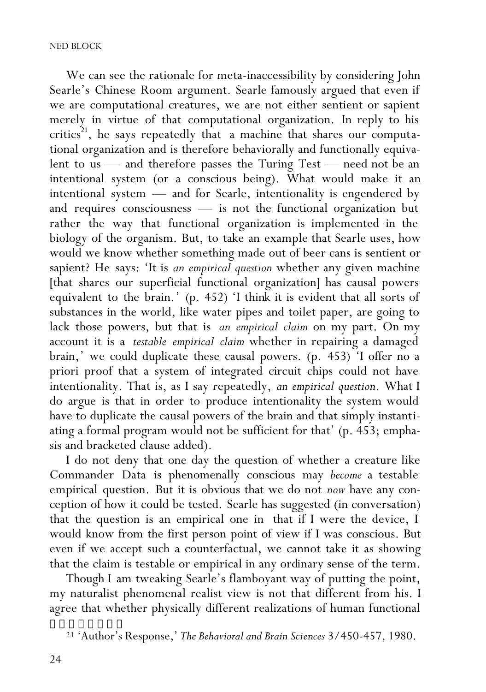We can see the rationale for meta-inaccessibility by considering John Searle's Chinese Room argument. Searle famously argued that even if we are computational creatures, we are not either sentient or sapient merely in virtue of that computational organization. In reply to his critics<sup>21</sup>, he says repeatedly that a machine that shares our computational organization and is therefore behaviorally and functionally equivalent to us — and therefore passes the Turing Test — need not be an intentional system (or a conscious being). What would make it an intentional system — and for Searle, intentionality is engendered by and requires consciousness — is not the functional organization but rather the way that functional organization is implemented in the biology of the organism. But, to take an example that Searle uses, how would we know whether something made out of beer cans is sentient or sapient? He says: 'It is *an empirical question* whether any given machine [that shares our superficial functional organization] has causal powers equivalent to the brain.' (p. 452) 'I think it is evident that all sorts of substances in the world, like water pipes and toilet paper, are going to lack those powers, but that is *an empirical claim* on my part. On my account it is a *testable empirical claim* whether in repairing a damaged brain,' we could duplicate these causal powers. (p. 453) 'I offer no a priori proof that a system of integrated circuit chips could not have intentionality. That is, as I say repeatedly, *an empirical question*. What I do argue is that in order to produce intentionality the system would have to duplicate the causal powers of the brain and that simply instantiating a formal program would not be sufficient for that' (p. 453; emphasis and bracketed clause added).

I do not deny that one day the question of whether a creature like Commander Data is phenomenally conscious may *become* a testable empirical question. But it is obvious that we do not *now* have any conception of how it could be tested. Searle has suggested (in conversation) that the question is an empirical one in that if I were the device, I would know from the first person point of view if I was conscious. But even if we accept such a counterfactual, we cannot take it as showing that the claim is testable or empirical in any ordinary sense of the term.

Though I am tweaking Searle's flamboyant way of putting the point, my naturalist phenomenal realist view is not that different from his. I agree that whether physically different realizations of human functional

<sup>21</sup> 'Author's Response,' *The Behavioral and Brain Sciences* 3/450-457, 1980.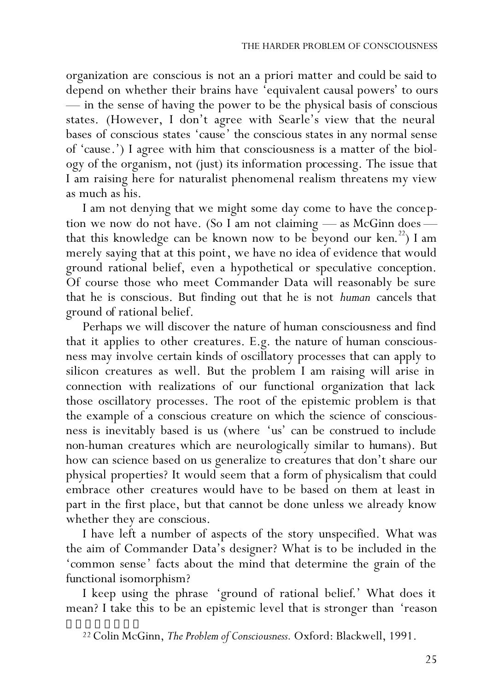organization are conscious is not an a priori matter and could be said to depend on whether their brains have 'equivalent causal powers' to ours — in the sense of having the power to be the physical basis of conscious states. (However, I don't agree with Searle's view that the neural bases of conscious states 'cause' the conscious states in any normal sense of 'cause.') I agree with him that consciousness is a matter of the biology of the organism, not (just) its information processing. The issue that I am raising here for naturalist phenomenal realism threatens my view as much as his.

I am not denying that we might some day come to have the conception we now do not have. (So I am not claiming — as McGinn does that this knowledge can be known now to be beyond our ken.<sup>22</sup>) I am merely saying that at this point, we have no idea of evidence that would ground rational belief, even a hypothetical or speculative conception. Of course those who meet Commander Data will reasonably be sure that he is conscious. But finding out that he is not *human* cancels that ground of rational belief.

Perhaps we will discover the nature of human consciousness and find that it applies to other creatures. E.g. the nature of human consciousness may involve certain kinds of oscillatory processes that can apply to silicon creatures as well. But the problem I am raising will arise in connection with realizations of our functional organization that lack those oscillatory processes. The root of the epistemic problem is that the example of a conscious creature on which the science of consciousness is inevitably based is us (where 'us' can be construed to include non-human creatures which are neurologically similar to humans). But how can science based on us generalize to creatures that don't share our physical properties? It would seem that a form of physicalism that could embrace other creatures would have to be based on them at least in part in the first place, but that cannot be done unless we already know whether they are conscious.

I have left a number of aspects of the story unspecified. What was the aim of Commander Data's designer? What is to be included in the 'common sense' facts about the mind that determine the grain of the functional isomorphism?

I keep using the phrase 'ground of rational belief.' What does it mean? I take this to be an epistemic level that is stronger than 'reason

<sup>22</sup> Colin McGinn, *The Problem of Consciousness.* Oxford: Blackwell, 1991.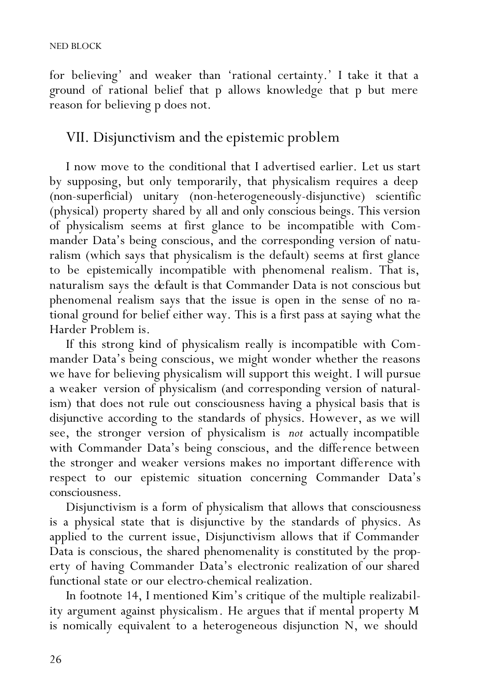for believing' and weaker than 'rational certainty.' I take it that a ground of rational belief that p allows knowledge that p but mere reason for believing p does not.

# VII. Disjunctivism and the epistemic problem

I now move to the conditional that I advertised earlier. Let us start by supposing, but only temporarily, that physicalism requires a deep (non-superficial) unitary (non-heterogeneously-disjunctive) scientific (physical) property shared by all and only conscious beings. This version of physicalism seems at first glance to be incompatible with Commander Data's being conscious, and the corresponding version of naturalism (which says that physicalism is the default) seems at first glance to be epistemically incompatible with phenomenal realism. That is, naturalism says the default is that Commander Data is not conscious but phenomenal realism says that the issue is open in the sense of no rational ground for belief either way. This is a first pass at saying what the Harder Problem is.

If this strong kind of physicalism really is incompatible with Commander Data's being conscious, we might wonder whether the reasons we have for believing physicalism will support this weight. I will pursue a weaker version of physicalism (and corresponding version of naturalism) that does not rule out consciousness having a physical basis that is disjunctive according to the standards of physics. However, as we will see, the stronger version of physicalism is *not* actually incompatible with Commander Data's being conscious, and the difference between the stronger and weaker versions makes no important difference with respect to our epistemic situation concerning Commander Data's consciousness.

Disjunctivism is a form of physicalism that allows that consciousness is a physical state that is disjunctive by the standards of physics. As applied to the current issue, Disjunctivism allows that if Commander Data is conscious, the shared phenomenality is constituted by the property of having Commander Data's electronic realization of our shared functional state or our electro-chemical realization.

In footnote 14, I mentioned Kim's critique of the multiple realizability argument against physicalism. He argues that if mental property M is nomically equivalent to a heterogeneous disjunction N, we should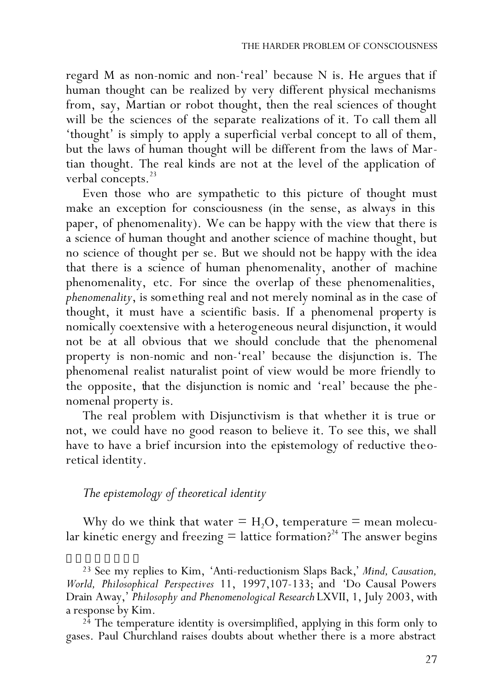regard M as non-nomic and non-'real' because N is. He argues that if human thought can be realized by very different physical mechanisms from, say, Martian or robot thought, then the real sciences of thought will be the sciences of the separate realizations of it. To call them all 'thought' is simply to apply a superficial verbal concept to all of them, but the laws of human thought will be different from the laws of Martian thought. The real kinds are not at the level of the application of verbal concepts.<sup>23</sup>

Even those who are sympathetic to this picture of thought must make an exception for consciousness (in the sense, as always in this paper, of phenomenality). We can be happy with the view that there is a science of human thought and another science of machine thought, but no science of thought per se. But we should not be happy with the idea that there is a science of human phenomenality, another of machine phenomenality, etc. For since the overlap of these phenomenalities, *phenomenality*, is something real and not merely nominal as in the case of thought, it must have a scientific basis. If a phenomenal property is nomically coextensive with a heterogeneous neural disjunction, it would not be at all obvious that we should conclude that the phenomenal property is non-nomic and non-'real' because the disjunction is. The phenomenal realist naturalist point of view would be more friendly to the opposite, that the disjunction is nomic and 'real' because the phenomenal property is.

The real problem with Disjunctivism is that whether it is true or not, we could have no good reason to believe it. To see this, we shall have to have a brief incursion into the epistemology of reductive theoretical identity.

# *The epistemology of theoretical identity*

Why do we think that water  $= H<sub>2</sub>O$ , temperature  $=$  mean molecular kinetic energy and freezing  $=$  lattice formation?<sup>24</sup> The answer begins

<sup>23</sup> See my replies to Kim, 'Anti-reductionism Slaps Back,' *Mind, Causation, World, Philosophical Perspectives* 11, 1997,107-133; and 'Do Causal Powers Drain Away,' *Philosophy and Phenomenological Research* LXVII, 1, July 2003, with a response by Kim.

 $2<sup>4</sup>$  The temperature identity is oversimplified, applying in this form only to gases. Paul Churchland raises doubts about whether there is a more abstract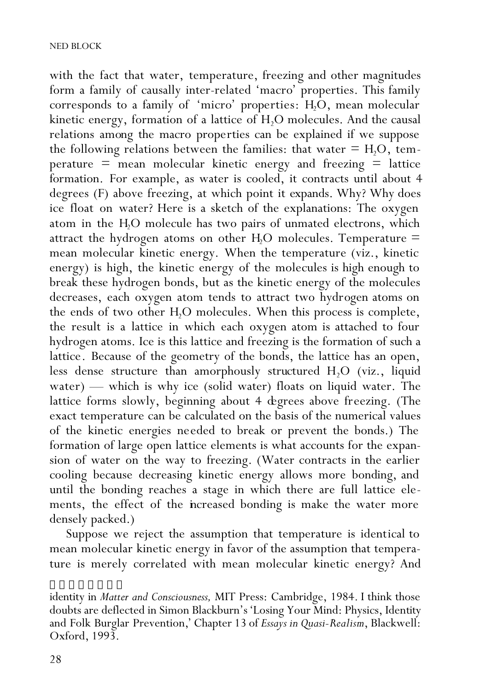with the fact that water, temperature, freezing and other magnitudes form a family of causally inter-related 'macro' properties. This family corresponds to a family of 'micro' properties: H<sub>2</sub>O, mean molecular kinetic energy, formation of a lattice of  $H_2O$  molecules. And the causal relations among the macro properties can be explained if we suppose the following relations between the families: that water  $=$  H<sub>2</sub>O, temperature  $=$  mean molecular kinetic energy and freezing  $=$  lattice formation. For example, as water is cooled, it contracts until about 4 degrees (F) above freezing, at which point it expands. Why? Why does ice float on water? Here is a sketch of the explanations: The oxygen atom in the H<sub>2</sub>O molecule has two pairs of unmated electrons, which attract the hydrogen atoms on other H<sub>2</sub>O molecules. Temperature  $=$ mean molecular kinetic energy. When the temperature (viz., kinetic energy) is high, the kinetic energy of the molecules is high enough to break these hydrogen bonds, but as the kinetic energy of the molecules decreases, each oxygen atom tends to attract two hydrogen atoms on the ends of two other H<sub>2</sub>O molecules. When this process is complete, the result is a lattice in which each oxygen atom is attached to four hydrogen atoms. Ice is this lattice and freezing is the formation of such a lattice. Because of the geometry of the bonds, the lattice has an open, less dense structure than amorphously structured H<sub>2</sub>O (viz., liquid water) — which is why ice (solid water) floats on liquid water. The lattice forms slowly, beginning about 4 degrees above freezing. (The exact temperature can be calculated on the basis of the numerical values of the kinetic energies needed to break or prevent the bonds.) The formation of large open lattice elements is what accounts for the expansion of water on the way to freezing. (Water contracts in the earlier cooling because decreasing kinetic energy allows more bonding, and until the bonding reaches a stage in which there are full lattice elements, the effect of the increased bonding is make the water more densely packed.)

Suppose we reject the assumption that temperature is identical to mean molecular kinetic energy in favor of the assumption that temperature is merely correlated with mean molecular kinetic energy? And

identity in *Matter and Consciousness,* MIT Press: Cambridge, 1984. I think those doubts are deflected in Simon Blackburn's 'Losing Your Mind: Physics, Identity and Folk Burglar Prevention,' Chapter 13 of *Essays in Quasi-Realism*, Blackwell: Oxford, 1993.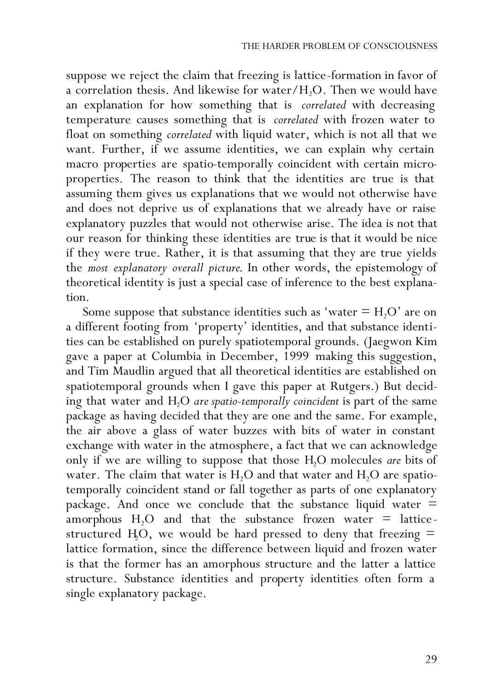suppose we reject the claim that freezing is lattice-formation in favor of a correlation thesis. And likewise for water/ $H_2O$ . Then we would have an explanation for how something that is *correlated* with decreasing temperature causes something that is *correlated* with frozen water to float on something *correlated* with liquid water, which is not all that we want. Further, if we assume identities, we can explain why certain macro properties are spatio-temporally coincident with certain microproperties. The reason to think that the identities are true is that assuming them gives us explanations that we would not otherwise have and does not deprive us of explanations that we already have or raise explanatory puzzles that would not otherwise arise. The idea is not that our reason for thinking these identities are true is that it would be nice if they were true. Rather, it is that assuming that they are true yields the *most explanatory overall picture*. In other words, the epistemology of theoretical identity is just a special case of inference to the best explanation.

Some suppose that substance identities such as 'water  $=$   $H_2O'$  are on a different footing from 'property' identities, and that substance identities can be established on purely spatiotemporal grounds. (Jaegwon Kim gave a paper at Columbia in December, 1999 making this suggestion, and Tim Maudlin argued that all theoretical identities are established on spatiotemporal grounds when I gave this paper at Rutgers.) But deciding that water and H<sub>2</sub>O *are spatio-temporally coincident* is part of the same package as having decided that they are one and the same. For example, the air above a glass of water buzzes with bits of water in constant exchange with water in the atmosphere, a fact that we can acknowledge only if we are willing to suppose that those H2O molecules *are* bits of water. The claim that water is  $H_2O$  and that water and  $H_2O$  are spatiotemporally coincident stand or fall together as parts of one explanatory package. And once we conclude that the substance liquid water = amorphous  $H_2O$  and that the substance frozen water = latticestructured H<sub>2</sub>O, we would be hard pressed to deny that freezing  $=$ lattice formation, since the difference between liquid and frozen water is that the former has an amorphous structure and the latter a lattice structure. Substance identities and property identities often form a single explanatory package.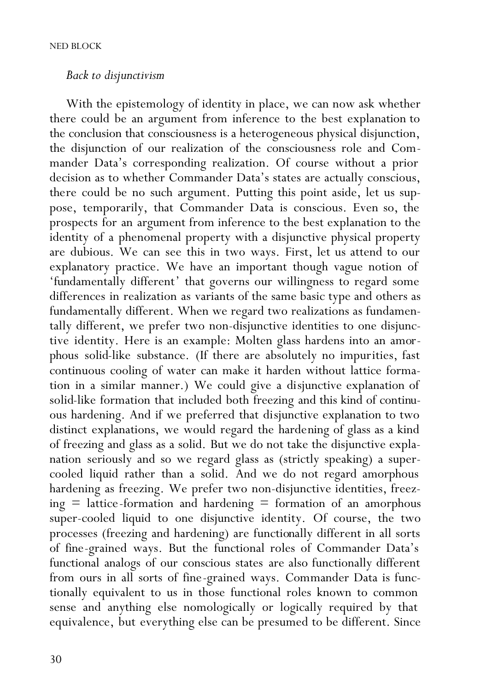#### *Back to disjunctivism*

With the epistemology of identity in place, we can now ask whether there could be an argument from inference to the best explanation to the conclusion that consciousness is a heterogeneous physical disjunction, the disjunction of our realization of the consciousness role and Commander Data's corresponding realization. Of course without a prior decision as to whether Commander Data's states are actually conscious, there could be no such argument. Putting this point aside, let us suppose, temporarily, that Commander Data is conscious. Even so, the prospects for an argument from inference to the best explanation to the identity of a phenomenal property with a disjunctive physical property are dubious. We can see this in two ways. First, let us attend to our explanatory practice. We have an important though vague notion of 'fundamentally different' that governs our willingness to regard some differences in realization as variants of the same basic type and others as fundamentally different. When we regard two realizations as fundamentally different, we prefer two non-disjunctive identities to one disjunctive identity. Here is an example: Molten glass hardens into an amorphous solid-like substance. (If there are absolutely no impurities, fast continuous cooling of water can make it harden without lattice formation in a similar manner.) We could give a disjunctive explanation of solid-like formation that included both freezing and this kind of continuous hardening. And if we preferred that disjunctive explanation to two distinct explanations, we would regard the hardening of glass as a kind of freezing and glass as a solid. But we do not take the disjunctive explanation seriously and so we regard glass as (strictly speaking) a supercooled liquid rather than a solid. And we do not regard amorphous hardening as freezing. We prefer two non-disjunctive identities, freez $ing =$  lattice-formation and hardening  $=$  formation of an amorphous super-cooled liquid to one disjunctive identity. Of course, the two processes (freezing and hardening) are functionally different in all sorts of fine-grained ways. But the functional roles of Commander Data's functional analogs of our conscious states are also functionally different from ours in all sorts of fine-grained ways. Commander Data is functionally equivalent to us in those functional roles known to common sense and anything else nomologically or logically required by that equivalence, but everything else can be presumed to be different. Since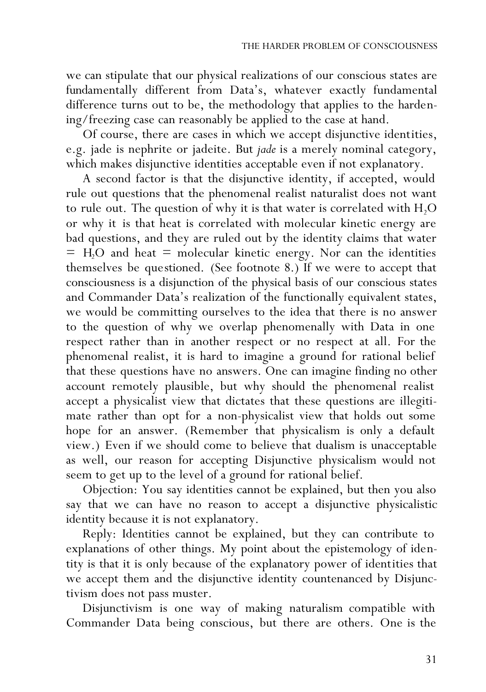we can stipulate that our physical realizations of our conscious states are fundamentally different from Data's, whatever exactly fundamental difference turns out to be, the methodology that applies to the hardening/freezing case can reasonably be applied to the case at hand.

Of course, there are cases in which we accept disjunctive identities, e.g. jade is nephrite or jadeite. But *jade* is a merely nominal category, which makes disjunctive identities acceptable even if not explanatory.

A second factor is that the disjunctive identity, if accepted, would rule out questions that the phenomenal realist naturalist does not want to rule out. The question of why it is that water is correlated with  $H_2O$ or why it is that heat is correlated with molecular kinetic energy are bad questions, and they are ruled out by the identity claims that water  $=$  H<sub>2</sub>O and heat  $=$  molecular kinetic energy. Nor can the identities themselves be questioned. (See footnote 8.) If we were to accept that consciousness is a disjunction of the physical basis of our conscious states and Commander Data's realization of the functionally equivalent states, we would be committing ourselves to the idea that there is no answer to the question of why we overlap phenomenally with Data in one respect rather than in another respect or no respect at all. For the phenomenal realist, it is hard to imagine a ground for rational belief that these questions have no answers. One can imagine finding no other account remotely plausible, but why should the phenomenal realist accept a physicalist view that dictates that these questions are illegitimate rather than opt for a non-physicalist view that holds out some hope for an answer. (Remember that physicalism is only a default view.) Even if we should come to believe that dualism is unacceptable as well, our reason for accepting Disjunctive physicalism would not seem to get up to the level of a ground for rational belief.

Objection: You say identities cannot be explained, but then you also say that we can have no reason to accept a disjunctive physicalistic identity because it is not explanatory.

Reply: Identities cannot be explained, but they can contribute to explanations of other things. My point about the epistemology of identity is that it is only because of the explanatory power of identities that we accept them and the disjunctive identity countenanced by Disjunctivism does not pass muster.

Disjunctivism is one way of making naturalism compatible with Commander Data being conscious, but there are others. One is the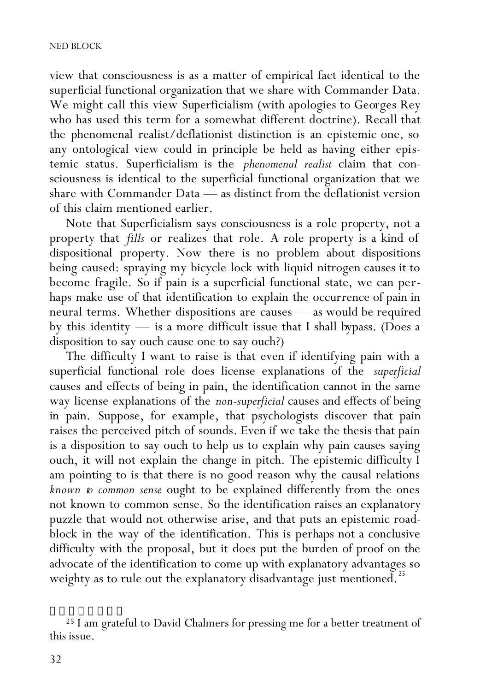view that consciousness is as a matter of empirical fact identical to the superficial functional organization that we share with Commander Data. We might call this view Superficialism (with apologies to Georges Rey who has used this term for a somewhat different doctrine). Recall that the phenomenal realist/deflationist distinction is an epistemic one, so any ontological view could in principle be held as having either epistemic status. Superficialism is the *phenomenal realist* claim that consciousness is identical to the superficial functional organization that we share with Commander Data — as distinct from the deflationist version of this claim mentioned earlier.

Note that Superficialism says consciousness is a role property, not a property that *fills* or realizes that role. A role property is a kind of dispositional property. Now there is no problem about dispositions being caused: spraying my bicycle lock with liquid nitrogen causes it to become fragile. So if pain is a superficial functional state, we can perhaps make use of that identification to explain the occurrence of pain in neural terms. Whether dispositions are causes — as would be required by this identity — is a more difficult issue that I shall bypass. (Does a disposition to say ouch cause one to say ouch?)

The difficulty I want to raise is that even if identifying pain with a superficial functional role does license explanations of the *superficial* causes and effects of being in pain, the identification cannot in the same way license explanations of the *non-superficial* causes and effects of being in pain. Suppose, for example, that psychologists discover that pain raises the perceived pitch of sounds. Even if we take the thesis that pain is a disposition to say ouch to help us to explain why pain causes saying ouch, it will not explain the change in pitch. The epistemic difficulty I am pointing to is that there is no good reason why the causal relations *known to common sense* ought to be explained differently from the ones not known to common sense. So the identification raises an explanatory puzzle that would not otherwise arise, and that puts an epistemic roadblock in the way of the identification. This is perhaps not a conclusive difficulty with the proposal, but it does put the burden of proof on the advocate of the identification to come up with explanatory advantages so weighty as to rule out the explanatory disadvantage just mentioned.<sup>25</sup>

<sup>25</sup> I am grateful to David Chalmers for pressing me for a better treatment of this issue.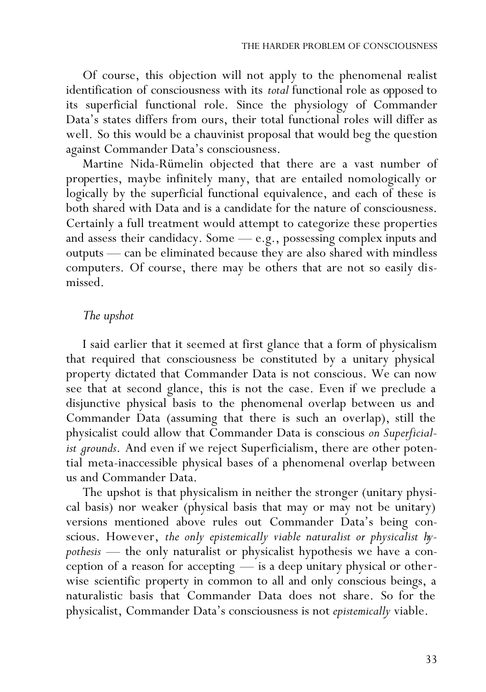Of course, this objection will not apply to the phenomenal realist identification of consciousness with its *total* functional role as opposed to its superficial functional role. Since the physiology of Commander Data's states differs from ours, their total functional roles will differ as well. So this would be a chauvinist proposal that would beg the question against Commander Data's consciousness.

Martine Nida-Rümelin objected that there are a vast number of properties, maybe infinitely many, that are entailed nomologically or logically by the superficial functional equivalence, and each of these is both shared with Data and is a candidate for the nature of consciousness. Certainly a full treatment would attempt to categorize these properties and assess their candidacy. Some — e.g., possessing complex inputs and outputs — can be eliminated because they are also shared with mindless computers. Of course, there may be others that are not so easily dismissed.

### *The upshot*

I said earlier that it seemed at first glance that a form of physicalism that required that consciousness be constituted by a unitary physical property dictated that Commander Data is not conscious. We can now see that at second glance, this is not the case. Even if we preclude a disjunctive physical basis to the phenomenal overlap between us and Commander Data (assuming that there is such an overlap), still the physicalist could allow that Commander Data is conscious *on Superficialist grounds*. And even if we reject Superficialism, there are other potential meta-inaccessible physical bases of a phenomenal overlap between us and Commander Data.

The upshot is that physicalism in neither the stronger (unitary physical basis) nor weaker (physical basis that may or may not be unitary) versions mentioned above rules out Commander Data's being conscious. However, *the only epistemically viable naturalist or physicalist hypothesis* — the only naturalist or physicalist hypothesis we have a conception of a reason for accepting — is a deep unitary physical or otherwise scientific property in common to all and only conscious beings, a naturalistic basis that Commander Data does not share. So for the physicalist, Commander Data's consciousness is not *epistemically* viable.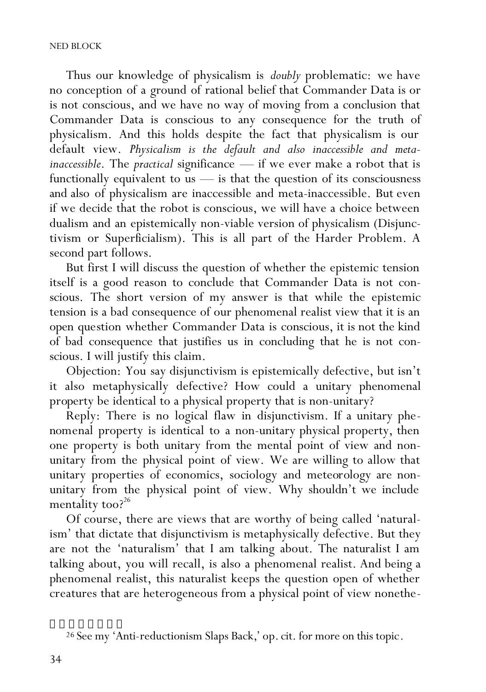Thus our knowledge of physicalism is *doubly* problematic: we have no conception of a ground of rational belief that Commander Data is or is not conscious, and we have no way of moving from a conclusion that Commander Data is conscious to any consequence for the truth of physicalism. And this holds despite the fact that physicalism is our default view. *Physicalism is the default and also inaccessible and metainaccessible*. The *practical* significance — if we ever make a robot that is functionally equivalent to us — is that the question of its consciousness and also of physicalism are inaccessible and meta-inaccessible. But even if we decide that the robot is conscious, we will have a choice between dualism and an epistemically non-viable version of physicalism (Disjunctivism or Superficialism). This is all part of the Harder Problem. A second part follows.

But first I will discuss the question of whether the epistemic tension itself is a good reason to conclude that Commander Data is not conscious. The short version of my answer is that while the epistemic tension is a bad consequence of our phenomenal realist view that it is an open question whether Commander Data is conscious, it is not the kind of bad consequence that justifies us in concluding that he is not conscious. I will justify this claim.

Objection: You say disjunctivism is epistemically defective, but isn't it also metaphysically defective? How could a unitary phenomenal property be identical to a physical property that is non-unitary?

Reply: There is no logical flaw in disjunctivism. If a unitary phenomenal property is identical to a non-unitary physical property, then one property is both unitary from the mental point of view and nonunitary from the physical point of view. We are willing to allow that unitary properties of economics, sociology and meteorology are nonunitary from the physical point of view. Why shouldn't we include mentality too? $2^{26}$ 

Of course, there are views that are worthy of being called 'naturalism' that dictate that disjunctivism is metaphysically defective. But they are not the 'naturalism' that I am talking about. The naturalist I am talking about, you will recall, is also a phenomenal realist. And being a phenomenal realist, this naturalist keeps the question open of whether creatures that are heterogeneous from a physical point of view nonethe-

<sup>26</sup> See my 'Anti-reductionism Slaps Back,' op.cit. for more on this topic.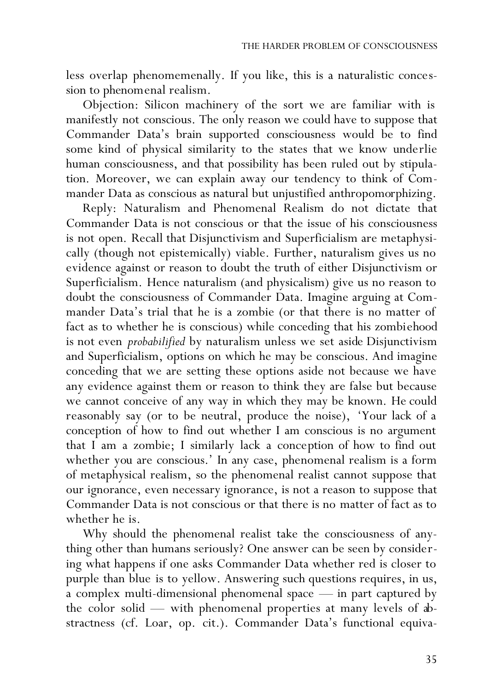less overlap phenomemenally. If you like, this is a naturalistic concession to phenomenal realism.

Objection: Silicon machinery of the sort we are familiar with is manifestly not conscious. The only reason we could have to suppose that Commander Data's brain supported consciousness would be to find some kind of physical similarity to the states that we know underlie human consciousness, and that possibility has been ruled out by stipulation. Moreover, we can explain away our tendency to think of Commander Data as conscious as natural but unjustified anthropomorphizing.

Reply: Naturalism and Phenomenal Realism do not dictate that Commander Data is not conscious or that the issue of his consciousness is not open. Recall that Disjunctivism and Superficialism are metaphysically (though not epistemically) viable. Further, naturalism gives us no evidence against or reason to doubt the truth of either Disjunctivism or Superficialism. Hence naturalism (and physicalism) give us no reason to doubt the consciousness of Commander Data. Imagine arguing at Commander Data's trial that he is a zombie (or that there is no matter of fact as to whether he is conscious) while conceding that his zombiehood is not even *probabilified* by naturalism unless we set aside Disjunctivism and Superficialism, options on which he may be conscious. And imagine conceding that we are setting these options aside not because we have any evidence against them or reason to think they are false but because we cannot conceive of any way in which they may be known. He could reasonably say (or to be neutral, produce the noise), 'Your lack of a conception of how to find out whether I am conscious is no argument that I am a zombie; I similarly lack a conception of how to find out whether you are conscious.' In any case, phenomenal realism is a form of metaphysical realism, so the phenomenal realist cannot suppose that our ignorance, even necessary ignorance, is not a reason to suppose that Commander Data is not conscious or that there is no matter of fact as to whether he is.

Why should the phenomenal realist take the consciousness of anything other than humans seriously? One answer can be seen by considering what happens if one asks Commander Data whether red is closer to purple than blue is to yellow. Answering such questions requires, in us, a complex multi-dimensional phenomenal space — in part captured by the color solid — with phenomenal properties at many levels of abstractness (cf. Loar, op. cit.). Commander Data's functional equiva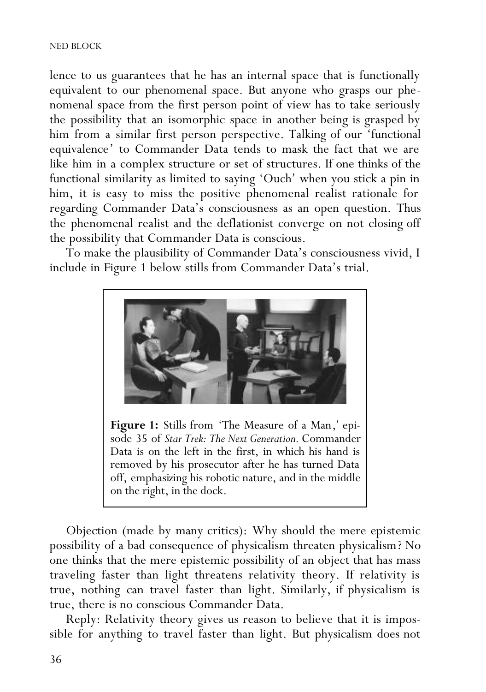lence to us guarantees that he has an internal space that is functionally equivalent to our phenomenal space. But anyone who grasps our phenomenal space from the first person point of view has to take seriously the possibility that an isomorphic space in another being is grasped by him from a similar first person perspective. Talking of our 'functional equivalence' to Commander Data tends to mask the fact that we are like him in a complex structure or set of structures. If one thinks of the functional similarity as limited to saying 'Ouch' when you stick a pin in him, it is easy to miss the positive phenomenal realist rationale for regarding Commander Data's consciousness as an open question. Thus the phenomenal realist and the deflationist converge on not closing off the possibility that Commander Data is conscious.

To make the plausibility of Commander Data's consciousness vivid, I include in Figure 1 below stills from Commander Data's trial.



**Figure 1:** Stills from 'The Measure of a Man,' episode 35 of *Star Trek: The Next Generation.* Commander Data is on the left in the first, in which his hand is removed by his prosecutor after he has turned Data off, emphasizing his robotic nature, and in the middle on the right, in the dock.

Objection (made by many critics): Why should the mere epistemic possibility of a bad consequence of physicalism threaten physicalism? No one thinks that the mere epistemic possibility of an object that has mass traveling faster than light threatens relativity theory. If relativity is true, nothing can travel faster than light. Similarly, if physicalism is true, there is no conscious Commander Data.

Reply: Relativity theory gives us reason to believe that it is impossible for anything to travel faster than light. But physicalism does not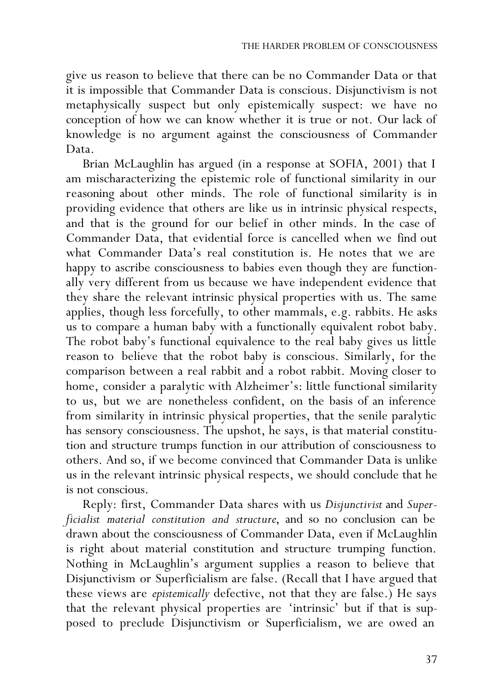give us reason to believe that there can be no Commander Data or that it is impossible that Commander Data is conscious. Disjunctivism is not metaphysically suspect but only epistemically suspect: we have no conception of how we can know whether it is true or not. Our lack of knowledge is no argument against the consciousness of Commander Data.

Brian McLaughlin has argued (in a response at SOFIA, 2001) that I am mischaracterizing the epistemic role of functional similarity in our reasoning about other minds. The role of functional similarity is in providing evidence that others are like us in intrinsic physical respects, and that is the ground for our belief in other minds. In the case of Commander Data, that evidential force is cancelled when we find out what Commander Data's real constitution is. He notes that we are happy to ascribe consciousness to babies even though they are functionally very different from us because we have independent evidence that they share the relevant intrinsic physical properties with us. The same applies, though less forcefully, to other mammals, e.g. rabbits. He asks us to compare a human baby with a functionally equivalent robot baby. The robot baby's functional equivalence to the real baby gives us little reason to believe that the robot baby is conscious. Similarly, for the comparison between a real rabbit and a robot rabbit. Moving closer to home, consider a paralytic with Alzheimer's: little functional similarity to us, but we are nonetheless confident, on the basis of an inference from similarity in intrinsic physical properties, that the senile paralytic has sensory consciousness. The upshot, he says, is that material constitution and structure trumps function in our attribution of consciousness to others. And so, if we become convinced that Commander Data is unlike us in the relevant intrinsic physical respects, we should conclude that he is not conscious.

Reply: first, Commander Data shares with us *Disjunctivist* and *Superficialist material constitution and structure*, and so no conclusion can be drawn about the consciousness of Commander Data, even if McLaughlin is right about material constitution and structure trumping function. Nothing in McLaughlin's argument supplies a reason to believe that Disjunctivism or Superficialism are false. (Recall that I have argued that these views are *epistemically* defective, not that they are false.) He says that the relevant physical properties are 'intrinsic' but if that is supposed to preclude Disjunctivism or Superficialism, we are owed an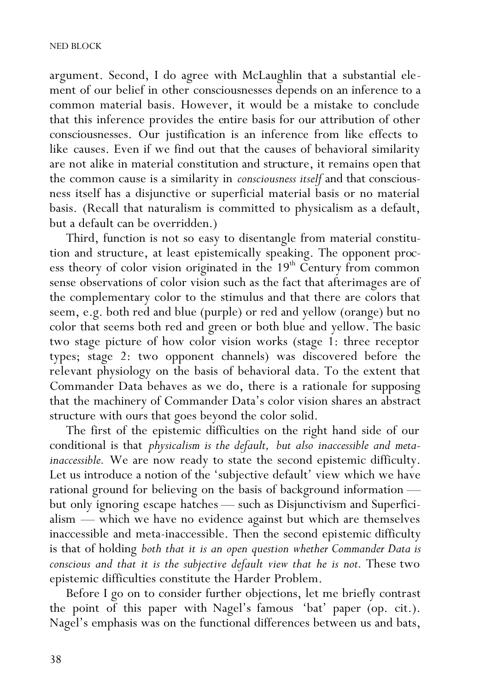argument. Second, I do agree with McLaughlin that a substantial element of our belief in other consciousnesses depends on an inference to a common material basis. However, it would be a mistake to conclude that this inference provides the entire basis for our attribution of other consciousnesses. Our justification is an inference from like effects to like causes. Even if we find out that the causes of behavioral similarity are not alike in material constitution and structure, it remains open that the common cause is a similarity in *consciousness itself* and that consciousness itself has a disjunctive or superficial material basis or no material basis. (Recall that naturalism is committed to physicalism as a default, but a default can be overridden.)

Third, function is not so easy to disentangle from material constitution and structure, at least epistemically speaking. The opponent process theory of color vision originated in the 19<sup>th</sup> Century from common sense observations of color vision such as the fact that afterimages are of the complementary color to the stimulus and that there are colors that seem, e.g. both red and blue (purple) or red and yellow (orange) but no color that seems both red and green or both blue and yellow. The basic two stage picture of how color vision works (stage 1: three receptor types; stage 2: two opponent channels) was discovered before the relevant physiology on the basis of behavioral data. To the extent that Commander Data behaves as we do, there is a rationale for supposing that the machinery of Commander Data's color vision shares an abstract structure with ours that goes beyond the color solid.

The first of the epistemic difficulties on the right hand side of our conditional is that *physicalism is the default, but also inaccessible and metainaccessible.* We are now ready to state the second epistemic difficulty. Let us introduce a notion of the 'subjective default' view which we have rational ground for believing on the basis of background information but only ignoring escape hatches — such as Disjunctivism and Superficialism — which we have no evidence against but which are themselves inaccessible and meta-inaccessible. Then the second epistemic difficulty is that of holding *both that it is an open question whether Commander Data is conscious and that it is the subjective default view that he is not.* These two epistemic difficulties constitute the Harder Problem.

Before I go on to consider further objections, let me briefly contrast the point of this paper with Nagel's famous 'bat' paper (op. cit.). Nagel's emphasis was on the functional differences between us and bats,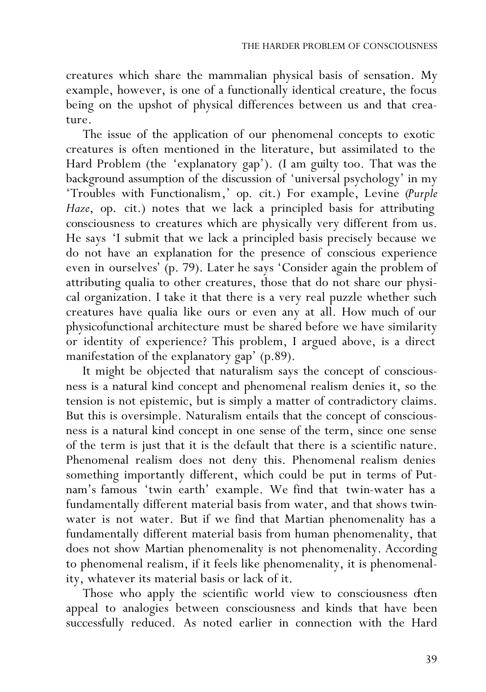creatures which share the mammalian physical basis of sensation. My example, however, is one of a functionally identical creature, the focus being on the upshot of physical differences between us and that creature.

The issue of the application of our phenomenal concepts to exotic creatures is often mentioned in the literature, but assimilated to the Hard Problem (the 'explanatory gap'). (I am guilty too. That was the background assumption of the discussion of 'universal psychology' in my 'Troubles with Functionalism,' op. cit.) For example, Levine (*Purple Haze*, op. cit.) notes that we lack a principled basis for attributing consciousness to creatures which are physically very different from us. He says 'I submit that we lack a principled basis precisely because we do not have an explanation for the presence of conscious experience even in ourselves' (p. 79). Later he says 'Consider again the problem of attributing qualia to other creatures, those that do not share our physical organization. I take it that there is a very real puzzle whether such creatures have qualia like ours or even any at all. How much of our physicofunctional architecture must be shared before we have similarity or identity of experience? This problem, I argued above, is a direct manifestation of the explanatory gap' (p.89).

It might be objected that naturalism says the concept of consciousness is a natural kind concept and phenomenal realism denies it, so the tension is not epistemic, but is simply a matter of contradictory claims. But this is oversimple. Naturalism entails that the concept of consciousness is a natural kind concept in one sense of the term, since one sense of the term is just that it is the default that there is a scientific nature. Phenomenal realism does not deny this. Phenomenal realism denies something importantly different, which could be put in terms of Putnam's famous 'twin earth' example. We find that twin-water has a fundamentally different material basis from water, and that shows twinwater is not water. But if we find that Martian phenomenality has a fundamentally different material basis from human phenomenality, that does not show Martian phenomenality is not phenomenality. According to phenomenal realism, if it feels like phenomenality, it is phenomenality, whatever its material basis or lack of it.

Those who apply the scientific world view to consciousness dten appeal to analogies between consciousness and kinds that have been successfully reduced. As noted earlier in connection with the Hard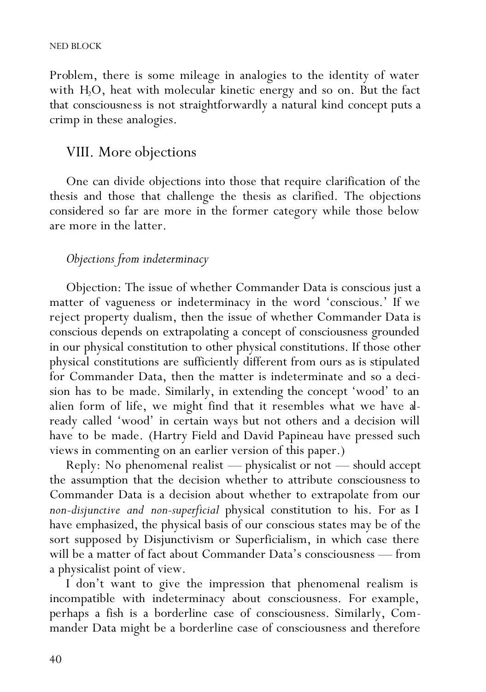Problem, there is some mileage in analogies to the identity of water with  $H_2O$ , heat with molecular kinetic energy and so on. But the fact that consciousness is not straightforwardly a natural kind concept puts a crimp in these analogies.

## VIII. More objections

One can divide objections into those that require clarification of the thesis and those that challenge the thesis as clarified. The objections considered so far are more in the former category while those below are more in the latter.

### *Objections from indeterminacy*

Objection: The issue of whether Commander Data is conscious just a matter of vagueness or indeterminacy in the word 'conscious.' If we reject property dualism, then the issue of whether Commander Data is conscious depends on extrapolating a concept of consciousness grounded in our physical constitution to other physical constitutions. If those other physical constitutions are sufficiently different from ours as is stipulated for Commander Data, then the matter is indeterminate and so a decision has to be made. Similarly, in extending the concept 'wood' to an alien form of life, we might find that it resembles what we have already called 'wood' in certain ways but not others and a decision will have to be made. (Hartry Field and David Papineau have pressed such views in commenting on an earlier version of this paper.)

Reply: No phenomenal realist — physicalist or not — should accept the assumption that the decision whether to attribute consciousness to Commander Data is a decision about whether to extrapolate from our *non-disjunctive and non-superficial* physical constitution to his. For as I have emphasized, the physical basis of our conscious states may be of the sort supposed by Disjunctivism or Superficialism, in which case there will be a matter of fact about Commander Data's consciousness — from a physicalist point of view.

I don't want to give the impression that phenomenal realism is incompatible with indeterminacy about consciousness. For example, perhaps a fish is a borderline case of consciousness. Similarly, Commander Data might be a borderline case of consciousness and therefore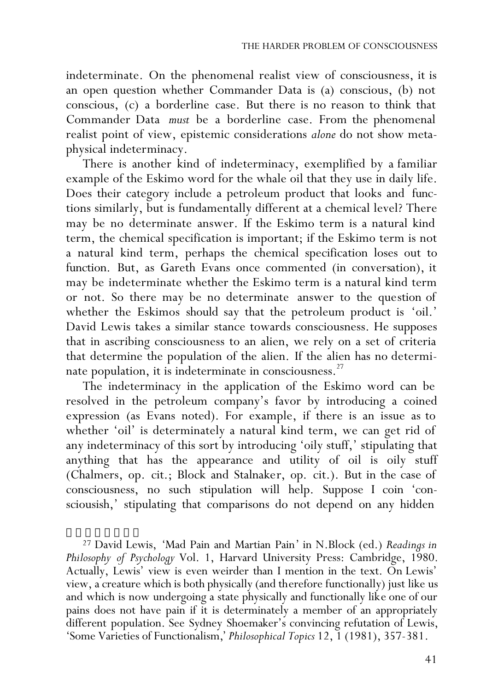indeterminate. On the phenomenal realist view of consciousness, it is an open question whether Commander Data is (a) conscious, (b) not conscious, (c) a borderline case. But there is no reason to think that Commander Data *must* be a borderline case. From the phenomenal realist point of view, epistemic considerations *alone* do not show metaphysical indeterminacy.

There is another kind of indeterminacy, exemplified by a familiar example of the Eskimo word for the whale oil that they use in daily life. Does their category include a petroleum product that looks and functions similarly, but is fundamentally different at a chemical level? There may be no determinate answer. If the Eskimo term is a natural kind term, the chemical specification is important; if the Eskimo term is not a natural kind term, perhaps the chemical specification loses out to function. But, as Gareth Evans once commented (in conversation), it may be indeterminate whether the Eskimo term is a natural kind term or not. So there may be no determinate answer to the question of whether the Eskimos should say that the petroleum product is 'oil.' David Lewis takes a similar stance towards consciousness. He supposes that in ascribing consciousness to an alien, we rely on a set of criteria that determine the population of the alien. If the alien has no determinate population, it is indeterminate in consciousness.<sup>27</sup>

The indeterminacy in the application of the Eskimo word can be resolved in the petroleum company's favor by introducing a coined expression (as Evans noted). For example, if there is an issue as to whether 'oil' is determinately a natural kind term, we can get rid of any indeterminacy of this sort by introducing 'oily stuff,' stipulating that anything that has the appearance and utility of oil is oily stuff (Chalmers, op. cit.; Block and Stalnaker, op. cit.). But in the case of consciousness, no such stipulation will help. Suppose I coin 'consciousish,' stipulating that comparisons do not depend on any hidden

<sup>27</sup> David Lewis, 'Mad Pain and Martian Pain' in N.Block (ed.) *Readings in Philosophy of Psychology* Vol. 1, Harvard University Press: Cambridge, 1980. Actually, Lewis' view is even weirder than I mention in the text. On Lewis' view, a creature which is both physically (and therefore functionally) just like us and which is now undergoing a state physically and functionally like one of our pains does not have pain if it is determinately a member of an appropriately different population. See Sydney Shoemaker's convincing refutation of Lewis, 'Some Varieties of Functionalism,' *Philosophical Topics* 12, 1 (1981), 357-381.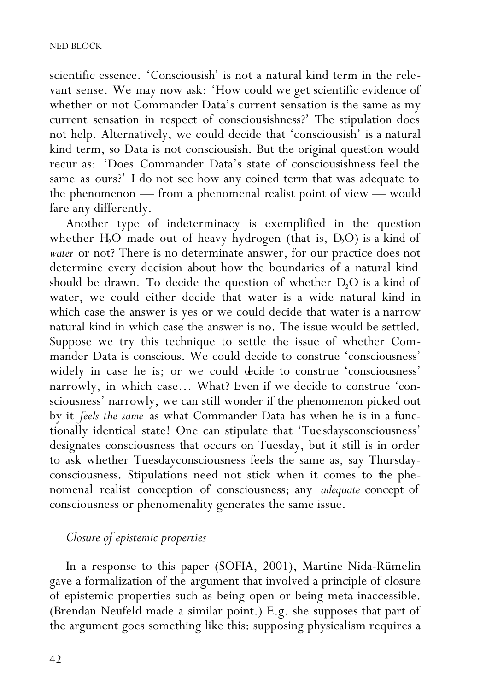scientific essence. 'Consciousish' is not a natural kind term in the relevant sense. We may now ask: 'How could we get scientific evidence of whether or not Commander Data's current sensation is the same as my current sensation in respect of consciousishness?' The stipulation does not help. Alternatively, we could decide that 'consciousish' is a natural kind term, so Data is not consciousish. But the original question would recur as: 'Does Commander Data's state of consciousishness feel the same as ours?' I do not see how any coined term that was adequate to the phenomenon — from a phenomenal realist point of view — would fare any differently.

Another type of indeterminacy is exemplified in the question whether  $H_2O$  made out of heavy hydrogen (that is,  $D_2O$ ) is a kind of *water* or not? There is no determinate answer, for our practice does not determine every decision about how the boundaries of a natural kind should be drawn. To decide the question of whether  $D<sub>2</sub>O$  is a kind of water, we could either decide that water is a wide natural kind in which case the answer is yes or we could decide that water is a narrow natural kind in which case the answer is no. The issue would be settled. Suppose we try this technique to settle the issue of whether Commander Data is conscious. We could decide to construe 'consciousness' widely in case he is; or we could decide to construe 'consciousness' narrowly, in which case… What? Even if we decide to construe 'consciousness' narrowly, we can still wonder if the phenomenon picked out by it *feels the same* as what Commander Data has when he is in a functionally identical state! One can stipulate that 'Tuesdaysconsciousness' designates consciousness that occurs on Tuesday, but it still is in order to ask whether Tuesdayconsciousness feels the same as, say Thursdayconsciousness. Stipulations need not stick when it comes to the phenomenal realist conception of consciousness; any *adequate* concept of consciousness or phenomenality generates the same issue.

### *Closure of epistemic properties*

In a response to this paper (SOFIA, 2001), Martine Nida-Rümelin gave a formalization of the argument that involved a principle of closure of epistemic properties such as being open or being meta-inaccessible. (Brendan Neufeld made a similar point.) E.g. she supposes that part of the argument goes something like this: supposing physicalism requires a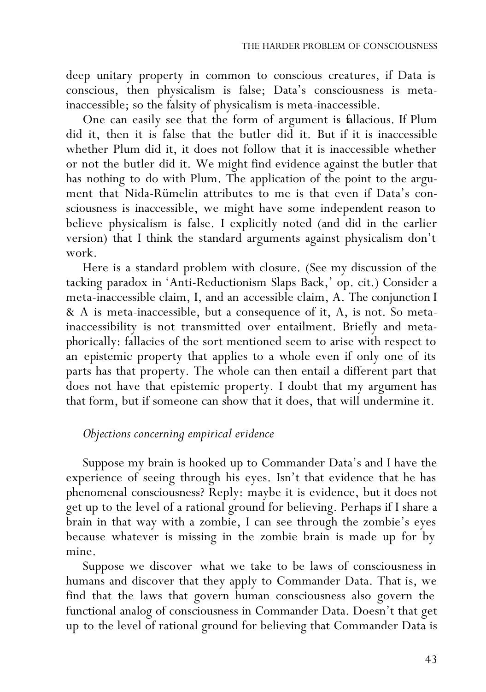deep unitary property in common to conscious creatures, if Data is conscious, then physicalism is false; Data's consciousness is metainaccessible; so the falsity of physicalism is meta-inaccessible.

One can easily see that the form of argument is fallacious. If Plum did it, then it is false that the butler did it. But if it is inaccessible whether Plum did it, it does not follow that it is inaccessible whether or not the butler did it. We might find evidence against the butler that has nothing to do with Plum. The application of the point to the argument that Nida-Rümelin attributes to me is that even if Data's consciousness is inaccessible, we might have some independent reason to believe physicalism is false. I explicitly noted (and did in the earlier version) that I think the standard arguments against physicalism don't work.

Here is a standard problem with closure. (See my discussion of the tacking paradox in 'Anti-Reductionism Slaps Back,' op. cit.) Consider a meta-inaccessible claim, I, and an accessible claim, A. The conjunction I & A is meta-inaccessible, but a consequence of it, A, is not. So metainaccessibility is not transmitted over entailment. Briefly and metaphorically: fallacies of the sort mentioned seem to arise with respect to an epistemic property that applies to a whole even if only one of its parts has that property. The whole can then entail a different part that does not have that epistemic property. I doubt that my argument has that form, but if someone can show that it does, that will undermine it.

### *Objections concerning empirical evidence*

Suppose my brain is hooked up to Commander Data's and I have the experience of seeing through his eyes. Isn't that evidence that he has phenomenal consciousness? Reply: maybe it is evidence, but it does not get up to the level of a rational ground for believing. Perhaps if I share a brain in that way with a zombie, I can see through the zombie's eyes because whatever is missing in the zombie brain is made up for by mine.

Suppose we discover what we take to be laws of consciousness in humans and discover that they apply to Commander Data. That is, we find that the laws that govern human consciousness also govern the functional analog of consciousness in Commander Data. Doesn't that get up to the level of rational ground for believing that Commander Data is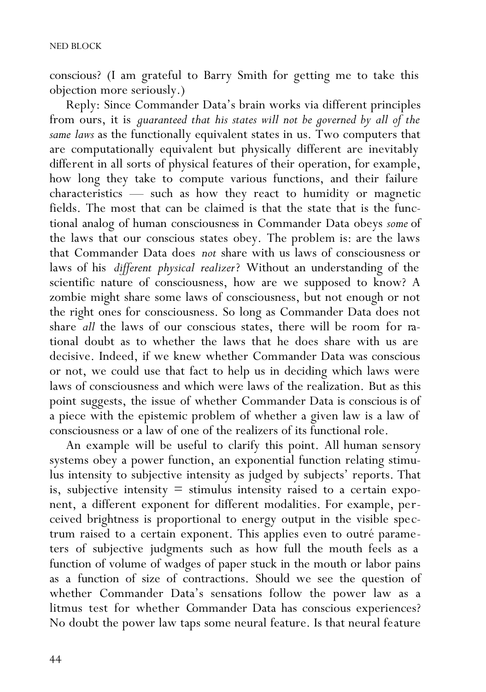conscious? (I am grateful to Barry Smith for getting me to take this objection more seriously.)

Reply: Since Commander Data's brain works via different principles from ours, it is *guaranteed that his states will not be governed by all of the same laws* as the functionally equivalent states in us. Two computers that are computationally equivalent but physically different are inevitably different in all sorts of physical features of their operation, for example, how long they take to compute various functions, and their failure characteristics — such as how they react to humidity or magnetic fields. The most that can be claimed is that the state that is the functional analog of human consciousness in Commander Data obeys *some* of the laws that our conscious states obey. The problem is: are the laws that Commander Data does *not* share with us laws of consciousness or laws of his *different physical realizer*? Without an understanding of the scientific nature of consciousness, how are we supposed to know? A zombie might share some laws of consciousness, but not enough or not the right ones for consciousness. So long as Commander Data does not share *all* the laws of our conscious states, there will be room for rational doubt as to whether the laws that he does share with us are decisive. Indeed, if we knew whether Commander Data was conscious or not, we could use that fact to help us in deciding which laws were laws of consciousness and which were laws of the realization. But as this point suggests, the issue of whether Commander Data is conscious is of a piece with the epistemic problem of whether a given law is a law of consciousness or a law of one of the realizers of its functional role.

An example will be useful to clarify this point. All human sensory systems obey a power function, an exponential function relating stimulus intensity to subjective intensity as judged by subjects' reports. That is, subjective intensity  $=$  stimulus intensity raised to a certain exponent, a different exponent for different modalities. For example, perceived brightness is proportional to energy output in the visible spectrum raised to a certain exponent. This applies even to outré parameters of subjective judgments such as how full the mouth feels as a function of volume of wadges of paper stuck in the mouth or labor pains as a function of size of contractions. Should we see the question of whether Commander Data's sensations follow the power law as a litmus test for whether Commander Data has conscious experiences? No doubt the power law taps some neural feature. Is that neural feature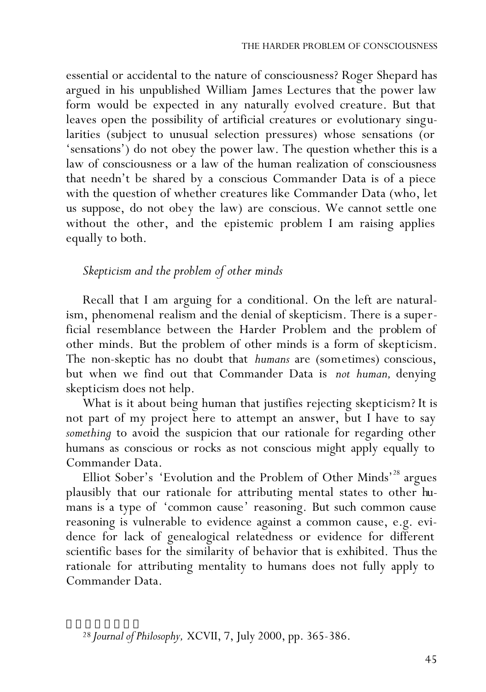essential or accidental to the nature of consciousness? Roger Shepard has argued in his unpublished William James Lectures that the power law form would be expected in any naturally evolved creature. But that leaves open the possibility of artificial creatures or evolutionary singularities (subject to unusual selection pressures) whose sensations (or 'sensations') do not obey the power law. The question whether this is a law of consciousness or a law of the human realization of consciousness that needn't be shared by a conscious Commander Data is of a piece with the question of whether creatures like Commander Data (who, let us suppose, do not obey the law) are conscious. We cannot settle one without the other, and the epistemic problem I am raising applies equally to both.

### *Skepticism and the problem of other minds*

Recall that I am arguing for a conditional. On the left are naturalism, phenomenal realism and the denial of skepticism. There is a superficial resemblance between the Harder Problem and the problem of other minds. But the problem of other minds is a form of skepticism. The non-skeptic has no doubt that *humans* are (sometimes) conscious, but when we find out that Commander Data is *not human,* denying skepticism does not help.

What is it about being human that justifies rejecting skepticism? It is not part of my project here to attempt an answer, but I have to say *something* to avoid the suspicion that our rationale for regarding other humans as conscious or rocks as not conscious might apply equally to Commander Data.

Elliot Sober's 'Evolution and the Problem of Other Minds'<sup>28</sup> argues plausibly that our rationale for attributing mental states to other humans is a type of 'common cause' reasoning. But such common cause reasoning is vulnerable to evidence against a common cause, e.g. evidence for lack of genealogical relatedness or evidence for different scientific bases for the similarity of behavior that is exhibited. Thus the rationale for attributing mentality to humans does not fully apply to Commander Data.

<sup>28</sup> *Journal of Philosophy,* XCVII, 7, July 2000, pp. 365-386.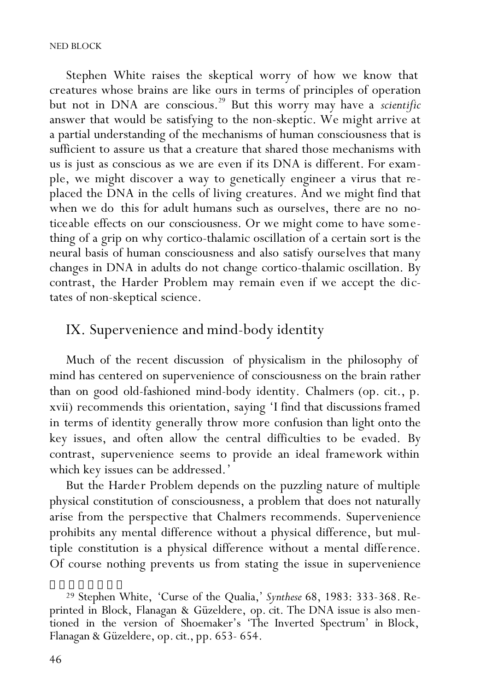Stephen White raises the skeptical worry of how we know that creatures whose brains are like ours in terms of principles of operation but not in DNA are conscious.<sup>29</sup> But this worry may have a *scientific* answer that would be satisfying to the non-skeptic. We might arrive at a partial understanding of the mechanisms of human consciousness that is sufficient to assure us that a creature that shared those mechanisms with us is just as conscious as we are even if its DNA is different. For example, we might discover a way to genetically engineer a virus that replaced the DNA in the cells of living creatures. And we might find that when we do this for adult humans such as ourselves, there are no noticeable effects on our consciousness. Or we might come to have something of a grip on why cortico-thalamic oscillation of a certain sort is the neural basis of human consciousness and also satisfy ourselves that many changes in DNA in adults do not change cortico-thalamic oscillation. By contrast, the Harder Problem may remain even if we accept the dictates of non-skeptical science.

## IX. Supervenience and mind-body identity

Much of the recent discussion of physicalism in the philosophy of mind has centered on supervenience of consciousness on the brain rather than on good old-fashioned mind-body identity. Chalmers (op. cit., p. xvii) recommends this orientation, saying 'I find that discussions framed in terms of identity generally throw more confusion than light onto the key issues, and often allow the central difficulties to be evaded. By contrast, supervenience seems to provide an ideal framework within which key issues can be addressed.'

But the Harder Problem depends on the puzzling nature of multiple physical constitution of consciousness, a problem that does not naturally arise from the perspective that Chalmers recommends. Supervenience prohibits any mental difference without a physical difference, but multiple constitution is a physical difference without a mental difference. Of course nothing prevents us from stating the issue in supervenience

<sup>29</sup> Stephen White, 'Curse of the Qualia,' *Synthese* 68, 1983: 333-368. Reprinted in Block, Flanagan & Güzeldere, op. cit. The DNA issue is also mentioned in the version of Shoemaker's 'The Inverted Spectrum' in Block, Flanagan & Güzeldere, op. cit., pp. 653- 654.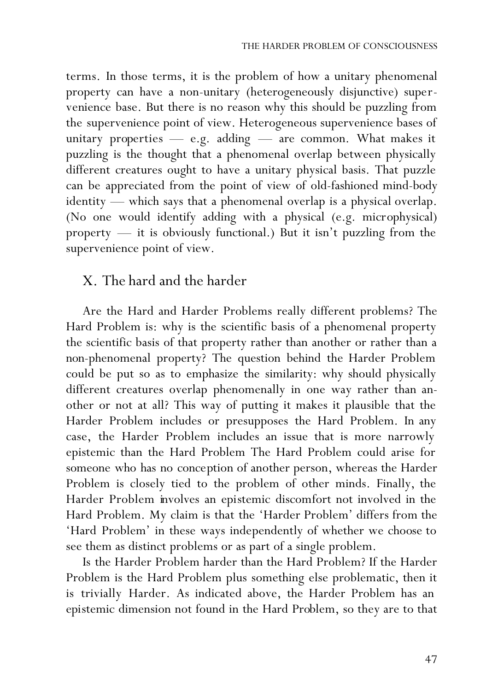terms. In those terms, it is the problem of how a unitary phenomenal property can have a non-unitary (heterogeneously disjunctive) supervenience base. But there is no reason why this should be puzzling from the supervenience point of view. Heterogeneous supervenience bases of unitary properties — e.g. adding — are common. What makes it puzzling is the thought that a phenomenal overlap between physically different creatures ought to have a unitary physical basis. That puzzle can be appreciated from the point of view of old-fashioned mind-body identity — which says that a phenomenal overlap is a physical overlap. (No one would identify adding with a physical (e.g. microphysical) property — it is obviously functional.) But it isn't puzzling from the supervenience point of view.

# X. The hard and the harder

Are the Hard and Harder Problems really different problems? The Hard Problem is: why is the scientific basis of a phenomenal property the scientific basis of that property rather than another or rather than a non-phenomenal property? The question behind the Harder Problem could be put so as to emphasize the similarity: why should physically different creatures overlap phenomenally in one way rather than another or not at all? This way of putting it makes it plausible that the Harder Problem includes or presupposes the Hard Problem. In any case, the Harder Problem includes an issue that is more narrowly epistemic than the Hard Problem The Hard Problem could arise for someone who has no conception of another person, whereas the Harder Problem is closely tied to the problem of other minds. Finally, the Harder Problem involves an epistemic discomfort not involved in the Hard Problem. My claim is that the 'Harder Problem' differs from the 'Hard Problem' in these ways independently of whether we choose to see them as distinct problems or as part of a single problem.

Is the Harder Problem harder than the Hard Problem? If the Harder Problem is the Hard Problem plus something else problematic, then it is trivially Harder. As indicated above, the Harder Problem has an epistemic dimension not found in the Hard Problem, so they are to that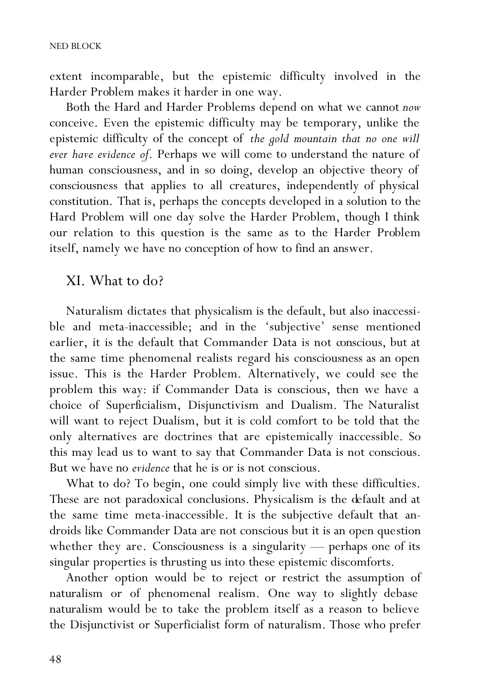extent incomparable, but the epistemic difficulty involved in the Harder Problem makes it harder in one way.

Both the Hard and Harder Problems depend on what we cannot *now* conceive. Even the epistemic difficulty may be temporary, unlike the epistemic difficulty of the concept of *the gold mountain that no one will ever have evidence of*. Perhaps we will come to understand the nature of human consciousness, and in so doing, develop an objective theory of consciousness that applies to all creatures, independently of physical constitution. That is, perhaps the concepts developed in a solution to the Hard Problem will one day solve the Harder Problem, though I think our relation to this question is the same as to the Harder Problem itself, namely we have no conception of how to find an answer.

### XI. What to do?

Naturalism dictates that physicalism is the default, but also inaccessible and meta-inaccessible; and in the 'subjective' sense mentioned earlier, it is the default that Commander Data is not conscious, but at the same time phenomenal realists regard his consciousness as an open issue. This is the Harder Problem. Alternatively, we could see the problem this way: if Commander Data is conscious, then we have a choice of Superficialism, Disjunctivism and Dualism. The Naturalist will want to reject Dualism, but it is cold comfort to be told that the only alternatives are doctrines that are epistemically inaccessible. So this may lead us to want to say that Commander Data is not conscious. But we have no *evidence* that he is or is not conscious.

What to do? To begin, one could simply live with these difficulties. These are not paradoxical conclusions. Physicalism is the default and at the same time meta-inaccessible. It is the subjective default that androids like Commander Data are not conscious but it is an open question whether they are. Consciousness is a singularity - perhaps one of its singular properties is thrusting us into these epistemic discomforts.

Another option would be to reject or restrict the assumption of naturalism or of phenomenal realism. One way to slightly debase naturalism would be to take the problem itself as a reason to believe the Disjunctivist or Superficialist form of naturalism. Those who prefer